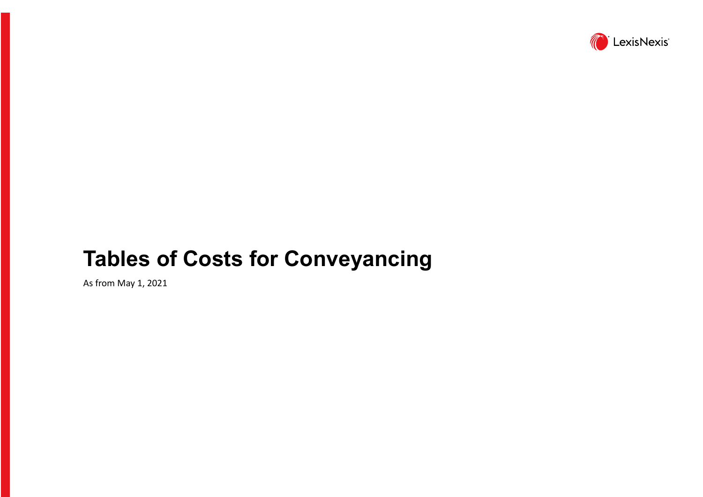

# **Tables of Costs for Conveyancing**

As from May 1, 2021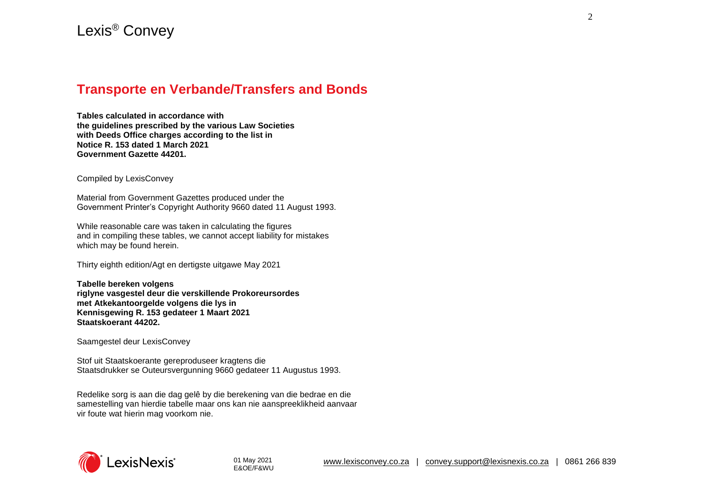#### **Transporte en Verbande/Transfers and Bonds**

**Tables calculated in accordance with the guidelines prescribed by the various Law Societies with Deeds Office charges according to the list in Notice R. 153 dated 1 March 2021 Government Gazette 44201.**

Compiled by LexisConvey

Material from Government Gazettes produced under the Government Printer's Copyright Authority 9660 dated 11 August 1993.

While reasonable care was taken in calculating the figures and in compiling these tables, we cannot accept liability for mistakes which may be found herein.

Thirty eighth edition/Agt en dertigste uitgawe May 2021

**Tabelle bereken volgens riglyne vasgestel deur die verskillende Prokoreursordes met Atkekantoorgelde volgens die lys in Kennisgewing R. 153 gedateer 1 Maart 2021 Staatskoerant 44202.**

Saamgestel deur LexisConvey

Stof uit Staatskoerante gereproduseer kragtens die Staatsdrukker se Outeursvergunning 9660 gedateer 11 Augustus 1993.

Redelike sorg is aan die dag gelê by die berekening van die bedrae en die samestelling van hierdie tabelle maar ons kan nie aanspreeklikheid aanvaar vir foute wat hierin mag voorkom nie.

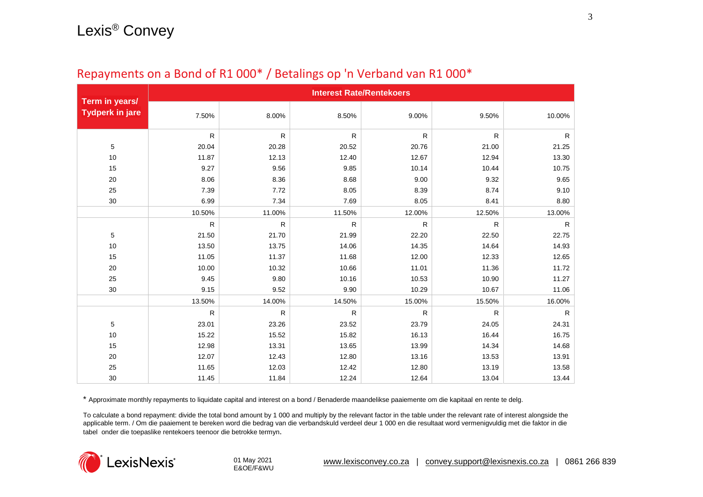|                                          |              |              |              | <b>Interest Rate/Rentekoers</b> |              |              |
|------------------------------------------|--------------|--------------|--------------|---------------------------------|--------------|--------------|
| Term in years/<br><b>Tydperk in jare</b> | 7.50%        | 8.00%        | 8.50%        | 9.00%                           | 9.50%        | 10.00%       |
|                                          | $\mathsf{R}$ | ${\sf R}$    | $\mathsf R$  | ${\sf R}$                       | $\mathsf{R}$ | R            |
| 5                                        | 20.04        | 20.28        | 20.52        | 20.76                           | 21.00        | 21.25        |
| 10                                       | 11.87        | 12.13        | 12.40        | 12.67                           | 12.94        | 13.30        |
| 15                                       | 9.27         | 9.56         | 9.85         | 10.14                           | 10.44        | 10.75        |
| 20                                       | 8.06         | 8.36         | 8.68         | 9.00                            | 9.32         | 9.65         |
| 25                                       | 7.39         | 7.72         | 8.05         | 8.39                            | 8.74         | 9.10         |
| 30                                       | 6.99         | 7.34         | 7.69         | 8.05                            | 8.41         | 8.80         |
|                                          | 10.50%       | 11.00%       | 11.50%       | 12.00%                          | 12.50%       | 13.00%       |
|                                          | R            | $\mathsf{R}$ | $\mathsf{R}$ | R                               | R            | R            |
| $\mathbf 5$                              | 21.50        | 21.70        | 21.99        | 22.20                           | 22.50        | 22.75        |
| 10                                       | 13.50        | 13.75        | 14.06        | 14.35                           | 14.64        | 14.93        |
| 15                                       | 11.05        | 11.37        | 11.68        | 12.00                           | 12.33        | 12.65        |
| 20                                       | 10.00        | 10.32        | 10.66        | 11.01                           | 11.36        | 11.72        |
| 25                                       | 9.45         | 9.80         | 10.16        | 10.53                           | 10.90        | 11.27        |
| 30                                       | 9.15         | 9.52         | 9.90         | 10.29                           | 10.67        | 11.06        |
|                                          | 13.50%       | 14.00%       | 14.50%       | 15.00%                          | 15.50%       | 16.00%       |
|                                          | R            | $\mathsf{R}$ | $\mathsf{R}$ | R                               | R            | $\mathsf{R}$ |
| $\mathbf 5$                              | 23.01        | 23.26        | 23.52        | 23.79                           | 24.05        | 24.31        |
| 10                                       | 15.22        | 15.52        | 15.82        | 16.13                           | 16.44        | 16.75        |
| 15                                       | 12.98        | 13.31        | 13.65        | 13.99                           | 14.34        | 14.68        |
| 20                                       | 12.07        | 12.43        | 12.80        | 13.16                           | 13.53        | 13.91        |
| 25                                       | 11.65        | 12.03        | 12.42        | 12.80                           | 13.19        | 13.58        |
| 30                                       | 11.45        | 11.84        | 12.24        | 12.64                           | 13.04        | 13.44        |

#### Repayments on a Bond of R1 000\* / Betalings op 'n Verband van R1 000\*

\* Approximate monthly repayments to liquidate capital and interest on a bond / Benaderde maandelikse paaiemente om die kapitaal en rente te delg.

To calculate a bond repayment: divide the total bond amount by 1 000 and multiply by the relevant factor in the table under the relevant rate of interest alongside the applicable term. / Om die paaiement te bereken word die bedrag van die verbandskuld verdeel deur 1 000 en die resultaat word vermenigvuldig met die faktor in die tabel onder die toepaslike rentekoers teenoor die betrokke termyn.

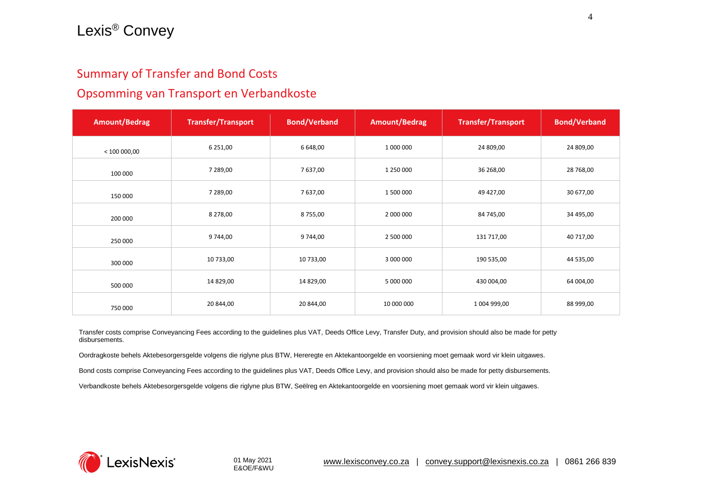#### Summary of Transfer and Bond Costs

#### Opsomming van Transport en Verbandkoste

| <b>Amount/Bedrag</b> | <b>Transfer/Transport</b> | <b>Bond/Verband</b> | <b>Amount/Bedrag</b> | <b>Transfer/Transport</b> | <b>Bond/Verband</b> |
|----------------------|---------------------------|---------------------|----------------------|---------------------------|---------------------|
| < 100000,00          | 6 2 5 1 , 0 0             | 6 648,00            | 1 000 000            | 24 809,00                 | 24 809,00           |
| 100 000              | 7 289,00                  | 7 637,00            | 1 250 000            | 36 268,00                 | 28 768,00           |
| 150 000              | 7 289,00                  | 7 637,00            | 1 500 000            | 49 427,00                 | 30 677,00           |
| 200 000              | 8 278,00                  | 8755,00             | 2 000 000            | 84 745,00                 | 34 495,00           |
| 250 000              | 9 744,00                  | 9 744,00            | 2 500 000            | 131 717,00                | 40 717,00           |
| 300 000              | 10 733,00                 | 10 733,00           | 3 000 000            | 190 535,00                | 44 535,00           |
| 500 000              | 14 829,00                 | 14 829,00           | 5 000 000            | 430 004,00                | 64 004,00           |
| 750 000              | 20 844,00                 | 20 844,00           | 10 000 000           | 1 004 999,00              | 88 999,00           |

Transfer costs comprise Conveyancing Fees according to the guidelines plus VAT, Deeds Office Levy, Transfer Duty, and provision should also be made for petty disbursements.

Oordragkoste behels Aktebesorgersgelde volgens die riglyne plus BTW, Hereregte en Aktekantoorgelde en voorsiening moet gemaak word vir klein uitgawes.

Bond costs comprise Conveyancing Fees according to the guidelines plus VAT, Deeds Office Levy, and provision should also be made for petty disbursements.

Verbandkoste behels Aktebesorgersgelde volgens die riglyne plus BTW, Seëlreg en Aktekantoorgelde en voorsiening moet gemaak word vir klein uitgawes.

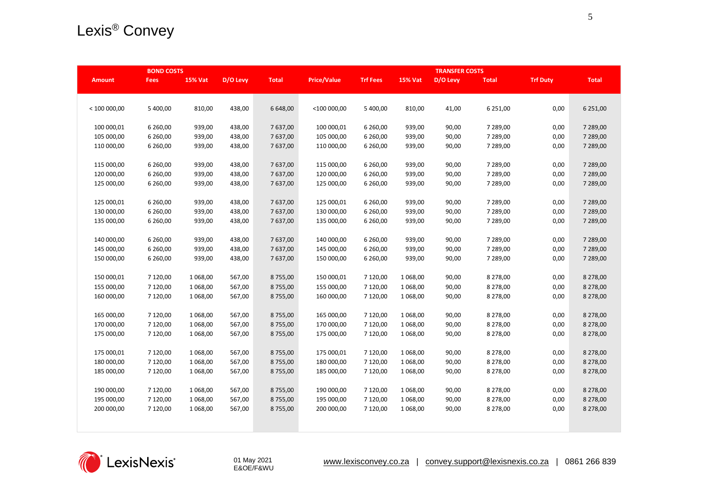|               | <b>BOND COSTS</b> |                |          |              |                    |                 |                | <b>TRANSFER COSTS</b> |              |                 |              |
|---------------|-------------------|----------------|----------|--------------|--------------------|-----------------|----------------|-----------------------|--------------|-----------------|--------------|
| <b>Amount</b> | <b>Fees</b>       | <b>15% Vat</b> | D/O Levy | <b>Total</b> | <b>Price/Value</b> | <b>Trf Fees</b> | <b>15% Vat</b> | D/O Levy              | <b>Total</b> | <b>Trf Duty</b> | <b>Total</b> |
|               |                   |                |          |              |                    |                 |                |                       |              |                 |              |
|               |                   |                |          |              |                    |                 |                |                       |              |                 |              |
| < 100000,00   | 5 400,00          | 810,00         | 438,00   | 6 648,00     | <100 000,00        | 5 400,00        | 810,00         | 41,00                 | 6 251,00     | 0,00            | 6 2 5 1,00   |
|               |                   |                |          |              |                    |                 |                |                       |              |                 |              |
| 100 000,01    | 6 260,00          | 939,00         | 438,00   | 7 637,00     | 100 000,01         | 6 260,00        | 939,00         | 90,00                 | 7 289,00     | 0,00            | 7 289,00     |
| 105 000,00    | 6 260,00          | 939,00         | 438,00   | 7 637,00     | 105 000,00         | 6 260,00        | 939,00         | 90,00                 | 7 289,00     | 0,00            | 7 289,00     |
| 110 000,00    | 6 260,00          | 939,00         | 438,00   | 7 637,00     | 110 000,00         | 6 260,00        | 939,00         | 90,00                 | 7 289,00     | 0,00            | 7 289,00     |
| 115 000,00    | 6 260,00          | 939,00         | 438,00   | 7 637,00     | 115 000,00         | 6 260,00        | 939,00         | 90,00                 | 7 289,00     | 0,00            | 7 289,00     |
| 120 000,00    | 6 260,00          | 939,00         | 438,00   | 7 637,00     | 120 000,00         | 6 260,00        | 939,00         | 90,00                 | 7 289,00     | 0,00            | 7 289,00     |
| 125 000,00    | 6 260,00          | 939,00         | 438,00   | 7 637,00     | 125 000,00         | 6 260,00        | 939,00         | 90,00                 | 7 289,00     | 0,00            | 7 289,00     |
|               |                   |                |          |              |                    |                 |                |                       |              |                 |              |
| 125 000,01    | 6 260,00          | 939,00         | 438,00   | 7 637,00     | 125 000,01         | 6 260,00        | 939,00         | 90,00                 | 7 289,00     | 0,00            | 7 289,00     |
| 130 000,00    | 6 260,00          | 939,00         | 438,00   | 7 637,00     | 130 000,00         | 6 260,00        | 939,00         | 90,00                 | 7 289,00     | 0,00            | 7 289,00     |
| 135 000,00    | 6 260,00          | 939,00         | 438,00   | 7 637,00     | 135 000,00         | 6 260,00        | 939,00         | 90,00                 | 7 289,00     | 0,00            | 7 289,00     |
|               |                   |                |          |              |                    |                 |                |                       |              |                 |              |
| 140 000,00    | 6 260,00          | 939,00         | 438,00   | 7 637,00     | 140 000,00         | 6 260,00        | 939,00         | 90,00                 | 7 289,00     | 0,00            | 7 289,00     |
| 145 000,00    | 6 260,00          | 939,00         | 438,00   | 7 637,00     | 145 000,00         | 6 260,00        | 939,00         | 90,00                 | 7 289,00     | 0,00            | 7 289,00     |
| 150 000,00    | 6 260,00          | 939,00         | 438,00   | 7 637,00     | 150 000,00         | 6 260,00        | 939,00         | 90,00                 | 7 289,00     | 0,00            | 7 289,00     |
|               |                   |                |          |              |                    |                 |                |                       |              |                 |              |
| 150 000,01    | 7 120,00          | 1 068,00       | 567,00   | 8755,00      | 150 000,01         | 7 120,00        | 1 068,00       | 90,00                 | 8 278,00     | 0,00            | 8 278,00     |
| 155 000,00    | 7 120,00          | 1 068,00       | 567,00   | 8755,00      | 155 000,00         | 7 120,00        | 1 068,00       | 90,00                 | 8 278,00     | 0,00            | 8 278,00     |
| 160 000,00    | 7 120,00          | 1 068,00       | 567,00   | 8755,00      | 160 000,00         | 7 120,00        | 1 068,00       | 90,00                 | 8 278,00     | 0,00            | 8 278,00     |
|               |                   |                |          |              |                    |                 |                |                       |              |                 |              |
| 165 000,00    | 7 120,00          | 1 068,00       | 567,00   | 8755,00      | 165 000,00         | 7 120,00        | 1 068,00       | 90,00                 | 8 278,00     | 0,00            | 8 278,00     |
| 170 000,00    | 7 120,00          | 1 068,00       | 567,00   | 8755,00      | 170 000,00         | 7 120,00        | 1 068,00       | 90,00                 | 8 278,00     | 0,00            | 8 278,00     |
| 175 000,00    | 7 120,00          | 1 068,00       | 567,00   | 8755,00      | 175 000,00         | 7 120,00        | 1 0 68,00      | 90,00                 | 8 278,00     | 0,00            | 8 278,00     |
|               |                   |                |          |              |                    |                 |                |                       |              |                 |              |
| 175 000,01    | 7 120,00          | 1 068,00       | 567,00   | 8755,00      | 175 000,01         | 7 120,00        | 1 068,00       | 90,00                 | 8 278,00     | 0,00            | 8 278,00     |
| 180 000,00    | 7 120,00          | 1 068,00       | 567,00   | 8755,00      | 180 000,00         | 7 120,00        | 1 068,00       | 90,00                 | 8 278,00     | 0,00            | 8 278,00     |
| 185 000,00    | 7 120,00          | 1 068,00       | 567,00   | 8755,00      | 185 000,00         | 7 120,00        | 1 068,00       | 90,00                 | 8 278,00     | 0,00            | 8 278,00     |
|               |                   |                |          |              |                    |                 |                |                       |              |                 |              |
| 190 000,00    | 7 120,00          | 1 068,00       | 567,00   | 8755,00      | 190 000,00         | 7 120,00        | 1 068,00       | 90,00                 | 8 278,00     | 0,00            | 8 278,00     |
| 195 000,00    | 7 120,00          | 1 068,00       | 567,00   | 8755,00      | 195 000,00         | 7 120,00        | 1 068,00       | 90,00                 | 8 278,00     | 0,00            | 8 278,00     |
| 200 000,00    | 7 120,00          | 1 068,00       | 567,00   | 8755,00      | 200 000,00         | 7 120,00        | 1 068,00       | 90,00                 | 8 278,00     | 0,00            | 8 278,00     |
|               |                   |                |          |              |                    |                 |                |                       |              |                 |              |
|               |                   |                |          |              |                    |                 |                |                       |              |                 |              |

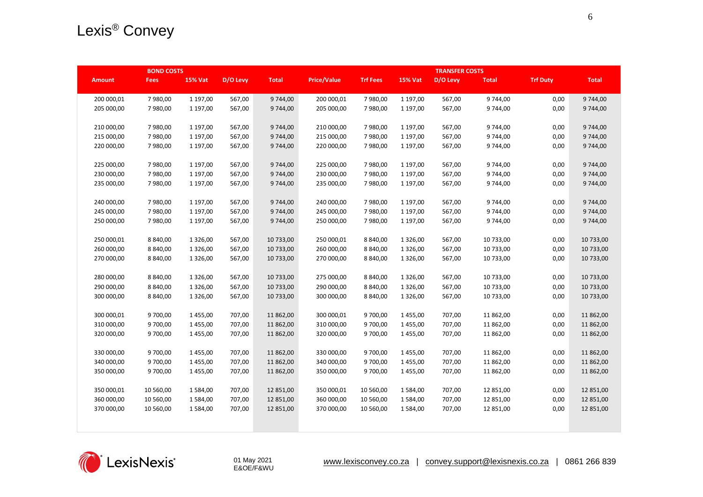|               | <b>BOND COSTS</b> |                |          |              |                    | <b>TRANSFER COSTS</b> |                |          |              |                 |              |
|---------------|-------------------|----------------|----------|--------------|--------------------|-----------------------|----------------|----------|--------------|-----------------|--------------|
| <b>Amount</b> | <b>Fees</b>       | <b>15% Vat</b> | D/O Levy | <b>Total</b> | <b>Price/Value</b> | <b>Trf Fees</b>       | <b>15% Vat</b> | D/O Levy | <b>Total</b> | <b>Trf Duty</b> | <b>Total</b> |
|               |                   |                |          |              |                    |                       |                |          |              |                 |              |
| 200 000,01    | 7980,00           | 1 197,00       | 567,00   | 9 744,00     | 200 000,01         | 7980,00               | 1 197,00       | 567,00   | 9 744,00     | 0,00            | 9 744,00     |
| 205 000,00    | 7980,00           | 1 197,00       | 567,00   | 9 744,00     | 205 000,00         | 7980,00               | 1 197,00       | 567,00   | 9 744,00     | 0,00            | 9744,00      |
|               |                   |                |          |              |                    |                       |                |          |              |                 |              |
| 210 000,00    | 7980,00           | 1 197,00       | 567,00   | 9 744,00     | 210 000,00         | 7980,00               | 1 197,00       | 567,00   | 9 744,00     | 0,00            | 9 744,00     |
| 215 000,00    | 7980,00           | 1 197,00       | 567,00   | 9 744,00     | 215 000,00         | 7980,00               | 1 197,00       | 567,00   | 9 744,00     | 0,00            | 9744,00      |
| 220 000,00    | 7980,00           | 1 197,00       | 567,00   | 9 744,00     | 220 000,00         | 7980,00               | 1 197,00       | 567,00   | 9744,00      | 0,00            | 9 744,00     |
|               |                   |                |          |              |                    |                       |                |          |              |                 |              |
| 225 000,00    | 7980,00           | 1 197,00       | 567,00   | 9 744,00     | 225 000,00         | 7980,00               | 1 197,00       | 567,00   | 9 744,00     | 0,00            | 9 744,00     |
| 230 000,00    | 7980,00           | 1 197,00       | 567,00   | 9 744,00     | 230 000,00         | 7980,00               | 1 197,00       | 567,00   | 9 744,00     | 0,00            | 9744,00      |
| 235 000,00    | 7980,00           | 1 197,00       | 567,00   | 9744,00      | 235 000,00         | 7980,00               | 1 197,00       | 567,00   | 9744,00      | 0,00            | 9744,00      |
|               |                   |                |          |              |                    |                       |                |          |              |                 |              |
| 240 000,00    | 7980,00           | 1 197,00       | 567,00   | 9 744,00     | 240 000,00         | 7980,00               | 1 197,00       | 567,00   | 9 744,00     | 0,00            | 9744,00      |
| 245 000,00    | 7980,00           | 1 197,00       | 567,00   | 9 744,00     | 245 000,00         | 7980,00               | 1 197,00       | 567,00   | 9 744,00     | 0,00            | 9 744,00     |
| 250 000,00    | 7980,00           | 1 197,00       | 567,00   | 9 744,00     | 250 000,00         | 7980,00               | 1 197,00       | 567,00   | 9744,00      | 0,00            | 9744,00      |
|               |                   |                |          |              |                    |                       |                |          |              |                 |              |
| 250 000,01    | 8 840,00          | 1 3 2 6 , 0 0  | 567,00   | 10 733,00    | 250 000,01         | 8 840,00              | 1 3 2 6 , 0 0  | 567,00   | 10 733,00    | 0,00            | 10 733,00    |
| 260 000,00    | 8 840,00          | 1 3 2 6 , 0 0  | 567,00   | 10 733,00    | 260 000,00         | 8 840,00              | 1 3 2 6 , 0 0  | 567,00   | 10 733,00    | 0,00            | 10 733,00    |
| 270 000,00    | 8 840,00          | 1 3 2 6 , 0 0  | 567,00   | 10 733,00    | 270 000,00         | 8 840,00              | 1 3 2 6 , 0 0  | 567,00   | 10 733,00    | 0,00            | 10 733,00    |
|               |                   |                |          |              |                    |                       |                |          |              |                 |              |
| 280 000,00    | 8 840,00          | 1 3 2 6 , 0 0  | 567,00   | 10 733,00    | 275 000,00         | 8 840,00              | 1 3 2 6 , 0 0  | 567,00   | 10 733,00    | 0,00            | 10 733,00    |
| 290 000,00    | 8 840,00          | 1 3 2 6 , 0 0  | 567,00   | 10 733,00    | 290 000,00         | 8 840,00              | 1 3 2 6 , 0 0  | 567,00   | 10 733,00    | 0,00            | 10 733,00    |
| 300 000,00    | 8 840,00          | 1 3 2 6 , 0 0  | 567,00   | 10 733,00    | 300 000,00         | 8 840,00              | 1 3 2 6 , 0 0  | 567,00   | 10 733,00    | 0,00            | 10 733,00    |
|               |                   |                |          |              |                    |                       |                |          |              |                 |              |
| 300 000,01    | 9 700,00          | 1 455,00       | 707,00   | 11 862,00    | 300 000,01         | 9 700,00              | 1455,00        | 707,00   | 11 862,00    | 0,00            | 11 862,00    |
| 310 000,00    | 9 700,00          | 1455,00        | 707,00   | 11 862,00    | 310 000,00         | 9 700,00              | 1455,00        | 707,00   | 11 862,00    | 0,00            | 11 862,00    |
| 320 000,00    | 9 700,00          | 1455,00        | 707,00   | 11 862,00    | 320 000,00         | 9 700,00              | 1455,00        | 707,00   | 11 862,00    | 0,00            | 11 862,00    |
|               |                   |                |          |              |                    |                       |                |          |              |                 |              |
| 330 000,00    | 9 700,00          | 1 455,00       | 707,00   | 11 862,00    | 330 000,00         | 9 700,00              | 1455,00        | 707,00   | 11 862,00    | 0,00            | 11 862,00    |
| 340 000,00    | 9 700,00          | 1455,00        | 707,00   | 11 862,00    | 340 000,00         | 9 700,00              | 1455,00        | 707,00   | 11 862,00    | 0,00            | 11 862,00    |
| 350 000,00    | 9 700,00          | 1455,00        | 707,00   | 11 862,00    | 350 000,00         | 9 700,00              | 1455,00        | 707,00   | 11 862,00    | 0,00            | 11 862,00    |
|               |                   |                |          |              |                    |                       |                |          |              |                 |              |
| 350 000,01    | 10 560,00         | 1 584,00       | 707,00   | 12 851,00    | 350 000,01         | 10 560,00             | 1 5 8 4 , 0 0  | 707,00   | 12 851,00    | 0,00            | 12 851,00    |
| 360 000,00    | 10 560,00         | 1 584,00       | 707,00   | 12 851,00    | 360 000,00         | 10 560,00             | 1 5 8 4 , 0 0  | 707,00   | 12 851,00    | 0,00            | 12 851,00    |
| 370 000,00    | 10 560,00         | 1 584,00       | 707,00   | 12 851,00    | 370 000,00         | 10 560,00             | 1 5 8 4 , 0 0  | 707,00   | 12 851,00    | 0,00            | 12 851,00    |
|               |                   |                |          |              |                    |                       |                |          |              |                 |              |
|               |                   |                |          |              |                    |                       |                |          |              |                 |              |

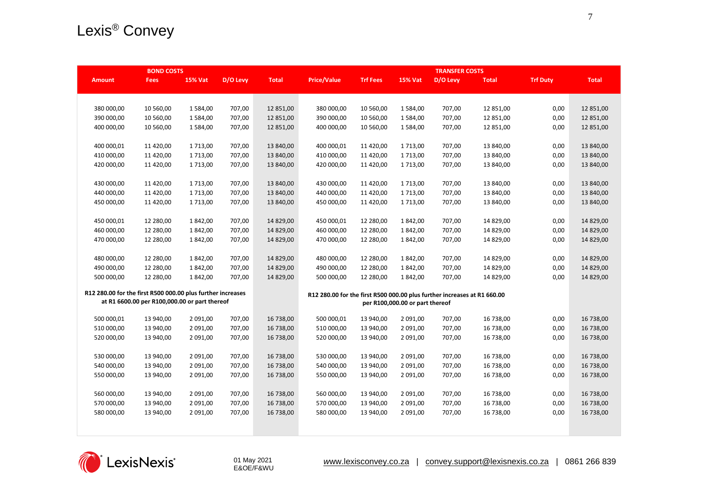|                                                             | <b>BOND COSTS</b>                             |                |          |              |                                                                          |                 |                                 | <b>TRANSFER COSTS</b> |              |                 |              |
|-------------------------------------------------------------|-----------------------------------------------|----------------|----------|--------------|--------------------------------------------------------------------------|-----------------|---------------------------------|-----------------------|--------------|-----------------|--------------|
| <b>Amount</b>                                               | <b>Fees</b>                                   | <b>15% Vat</b> | D/O Levy | <b>Total</b> | <b>Price/Value</b>                                                       | <b>Trf Fees</b> | <b>15% Vat</b>                  | D/O Levy              | <b>Total</b> | <b>Trf Duty</b> | <b>Total</b> |
|                                                             |                                               |                |          |              |                                                                          |                 |                                 |                       |              |                 |              |
|                                                             |                                               |                |          |              |                                                                          |                 |                                 |                       |              |                 |              |
| 380 000,00                                                  | 10 560,00                                     | 1 584,00       | 707,00   | 12 851,00    | 380 000,00                                                               | 10 560,00       | 1584,00                         | 707,00                | 12 851,00    | 0,00            | 12 851,00    |
| 390 000,00                                                  | 10 560,00                                     | 1 584,00       | 707,00   | 12 851,00    | 390 000,00                                                               | 10 560,00       | 1584,00                         | 707,00                | 12 851,00    | 0,00            | 12 851,00    |
| 400 000,00                                                  | 10 560,00                                     | 1 584,00       | 707,00   | 12 851,00    | 400 000,00                                                               | 10 560,00       | 1584,00                         | 707,00                | 12 851,00    | 0,00            | 12 851,00    |
|                                                             |                                               |                |          |              |                                                                          |                 |                                 |                       |              |                 |              |
| 400 000,01                                                  | 11 420,00                                     | 1 713,00       | 707,00   | 13 840,00    | 400 000,01                                                               | 11 420,00       | 1713,00                         | 707,00                | 13 840,00    | 0,00            | 13 840,00    |
| 410 000,00                                                  | 11 420,00                                     | 1 713,00       | 707,00   | 13 840,00    | 410 000,00                                                               | 11 420,00       | 1713,00                         | 707,00                | 13 840,00    | 0,00            | 13 840,00    |
| 420 000,00                                                  | 11 420,00                                     | 1 713,00       | 707,00   | 13 840,00    | 420 000,00                                                               | 11 420,00       | 1713,00                         | 707,00                | 13 840,00    | 0,00            | 13 840,00    |
|                                                             |                                               |                |          |              |                                                                          |                 |                                 |                       |              |                 |              |
| 430 000,00                                                  | 11 420,00                                     | 1 713,00       | 707,00   | 13 840,00    | 430 000,00                                                               | 11 420,00       | 1713,00                         | 707,00                | 13 840,00    | 0,00            | 13 840,00    |
| 440 000,00                                                  | 11 420,00                                     | 1 713,00       | 707,00   | 13 840,00    | 440 000,00                                                               | 11 420,00       | 1713,00                         | 707,00                | 13 840,00    | 0,00            | 13 840,00    |
| 450 000,00                                                  | 11 420,00                                     | 1 713,00       | 707,00   | 13 840,00    | 450 000,00                                                               | 11 420,00       | 1713,00                         | 707,00                | 13 840,00    | 0,00            | 13 840,00    |
|                                                             |                                               |                |          |              |                                                                          |                 |                                 |                       |              |                 |              |
| 450 000,01                                                  | 12 280,00                                     | 1842,00        | 707,00   | 14 829,00    | 450 000,01                                                               | 12 280,00       | 1842,00                         | 707,00                | 14 829,00    | 0,00            | 14 829,00    |
| 460 000,00                                                  | 12 280,00                                     | 1842,00        | 707,00   | 14 829,00    | 460 000,00                                                               | 12 280,00       | 1842,00                         | 707,00                | 14 829,00    | 0,00            | 14 829,00    |
| 470 000,00                                                  | 12 280,00                                     | 1842,00        | 707,00   | 14 829,00    | 470 000,00                                                               | 12 280,00       | 1842,00                         | 707,00                | 14 829,00    | 0,00            | 14 829,00    |
|                                                             |                                               |                |          |              |                                                                          |                 |                                 |                       |              |                 |              |
| 480 000,00                                                  | 12 280,00                                     | 1842,00        | 707,00   | 14 829,00    | 480 000,00                                                               | 12 280,00       | 1842,00                         | 707,00                | 14 829,00    | 0,00            | 14 829,00    |
| 490 000,00                                                  | 12 280,00                                     | 1842,00        | 707,00   | 14 829,00    | 490 000,00                                                               | 12 280,00       | 1842,00                         | 707,00                | 14 829,00    | 0,00            | 14 829,00    |
| 500 000,00                                                  | 12 280,00                                     | 1 842,00       | 707,00   | 14 829,00    | 500 000,00                                                               | 12 280,00       | 1842,00                         | 707,00                | 14 829,00    | 0,00            | 14 829,00    |
|                                                             |                                               |                |          |              |                                                                          |                 |                                 |                       |              |                 |              |
| R12 280.00 for the first R500 000.00 plus further increases |                                               |                |          |              | R12 280.00 for the first R500 000.00 plus further increases at R1 660.00 |                 |                                 |                       |              |                 |              |
|                                                             | at R1 6600.00 per R100,000.00 or part thereof |                |          |              |                                                                          |                 | per R100,000.00 or part thereof |                       |              |                 |              |
| 500 000,01                                                  | 13 940,00                                     | 2 091,00       | 707,00   | 16 738,00    | 500 000,01                                                               | 13 940,00       | 2 091,00                        | 707,00                | 16 738,00    | 0,00            | 16 738,00    |
| 510 000,00                                                  | 13 940,00                                     | 2 091,00       | 707,00   | 16 738,00    | 510 000,00                                                               | 13 940,00       | 2 091,00                        | 707,00                | 16 738,00    | 0,00            | 16 738,00    |
| 520 000,00                                                  | 13 940,00                                     | 2 091,00       | 707,00   | 16 738,00    | 520 000,00                                                               | 13 940,00       | 2 091,00                        | 707,00                | 16 738,00    | 0,00            | 16 738,00    |
|                                                             |                                               |                |          |              |                                                                          |                 |                                 |                       |              |                 |              |
| 530 000,00                                                  | 13 940,00                                     | 2 091,00       | 707,00   | 16 738,00    | 530 000,00                                                               | 13 940,00       | 2 091,00                        | 707,00                | 16 738,00    | 0,00            | 16 738,00    |
| 540 000,00                                                  | 13 940,00                                     | 2 091,00       | 707,00   | 16 738,00    | 540 000,00                                                               | 13 940,00       | 2 091,00                        | 707,00                | 16 738,00    | 0,00            | 16 738,00    |
| 550 000,00                                                  | 13 940,00                                     | 2 091,00       | 707,00   | 16 738,00    | 550 000,00                                                               | 13 940,00       | 2 091,00                        | 707,00                | 16 738,00    | 0,00            | 16 738,00    |
|                                                             |                                               |                |          |              |                                                                          |                 |                                 |                       |              |                 |              |
| 560 000,00                                                  | 13 940,00                                     | 2 091,00       | 707,00   | 16 738,00    | 560 000,00                                                               | 13 940,00       | 2 091,00                        | 707,00                | 16 738,00    | 0,00            | 16 738,00    |
| 570 000,00                                                  | 13 940,00                                     | 2 091,00       | 707,00   | 16 738,00    | 570 000,00                                                               | 13 940,00       | 2 091,00                        | 707,00                | 16 738,00    | 0,00            | 16 738,00    |
| 580 000,00                                                  | 13 940,00                                     | 2 091,00       | 707,00   | 16 738,00    | 580 000,00                                                               | 13 940,00       | 2 091,00                        | 707,00                | 16 738,00    | 0,00            | 16 738,00    |
|                                                             |                                               |                |          |              |                                                                          |                 |                                 |                       |              |                 |              |
|                                                             |                                               |                |          |              |                                                                          |                 |                                 |                       |              |                 |              |
|                                                             |                                               |                |          |              |                                                                          |                 |                                 |                       |              |                 |              |

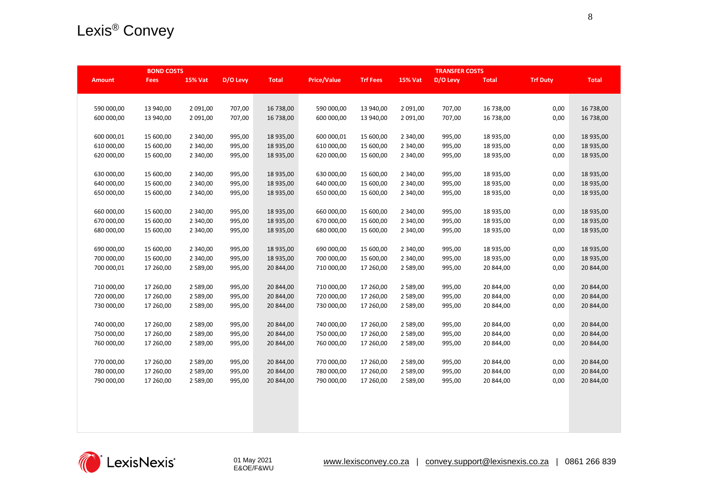|               | <b>BOND COSTS</b> |                |          |              |                    |                 |                | <b>TRANSFER COSTS</b> |              |                 |              |
|---------------|-------------------|----------------|----------|--------------|--------------------|-----------------|----------------|-----------------------|--------------|-----------------|--------------|
| <b>Amount</b> | <b>Fees</b>       | <b>15% Vat</b> | D/O Levy | <b>Total</b> | <b>Price/Value</b> | <b>Trf Fees</b> | <b>15% Vat</b> | D/O Levy              | <b>Total</b> | <b>Trf Duty</b> | <b>Total</b> |
|               |                   |                |          |              |                    |                 |                |                       |              |                 |              |
|               |                   |                |          |              |                    |                 |                |                       |              |                 |              |
| 590 000,00    | 13 940,00         | 2 091,00       | 707,00   | 16 738,00    | 590 000,00         | 13 940,00       | 2 091,00       | 707,00                | 16 738,00    | 0,00            | 16 738,00    |
| 600 000,00    | 13 940,00         | 2 091,00       | 707,00   | 16 738,00    | 600 000,00         | 13 940,00       | 2 091,00       | 707,00                | 16 738,00    | 0,00            | 16 738,00    |
|               |                   |                |          |              |                    |                 |                |                       |              |                 |              |
| 600 000,01    | 15 600,00         | 2 340,00       | 995,00   | 18 935,00    | 600 000,01         | 15 600,00       | 2 340,00       | 995,00                | 18 935,00    | 0,00            | 18 935,00    |
| 610 000,00    | 15 600,00         | 2 340,00       | 995,00   | 18 935,00    | 610 000,00         | 15 600,00       | 2 340,00       | 995,00                | 18 935,00    | 0,00            | 18 935,00    |
| 620 000,00    | 15 600,00         | 2 340,00       | 995,00   | 18 935,00    | 620 000,00         | 15 600,00       | 2 340,00       | 995,00                | 18 935,00    | 0,00            | 18 935,00    |
| 630 000,00    | 15 600,00         | 2 340,00       | 995,00   | 18 935,00    | 630 000,00         | 15 600,00       | 2 340,00       | 995,00                | 18 935,00    | 0,00            | 18 935,00    |
| 640 000,00    | 15 600,00         | 2 340,00       | 995,00   | 18 935,00    | 640 000,00         | 15 600,00       | 2 340,00       | 995,00                | 18 935,00    | 0,00            | 18 935,00    |
| 650 000,00    | 15 600,00         | 2 340,00       | 995,00   | 18 935,00    | 650 000,00         | 15 600,00       | 2 340,00       | 995,00                | 18 935,00    | 0,00            | 18 935,00    |
|               |                   |                |          |              |                    |                 |                |                       |              |                 |              |
| 660 000,00    | 15 600,00         | 2 340,00       | 995,00   | 18 935,00    | 660 000,00         | 15 600,00       | 2 340,00       | 995,00                | 18 935,00    | 0,00            | 18 935,00    |
| 670 000,00    | 15 600,00         | 2 340,00       | 995,00   | 18 935,00    | 670 000,00         | 15 600,00       | 2 340,00       | 995,00                | 18 935,00    | 0,00            | 18 935,00    |
| 680 000,00    | 15 600,00         | 2 340,00       | 995,00   | 18 935,00    | 680 000,00         | 15 600,00       | 2 340,00       | 995,00                | 18 935,00    | 0,00            | 18 935,00    |
|               |                   |                |          |              |                    |                 |                |                       |              |                 |              |
| 690 000,00    | 15 600,00         | 2 340,00       | 995,00   | 18 935,00    | 690 000,00         | 15 600,00       | 2 340,00       | 995,00                | 18 935,00    | 0,00            | 18 935,00    |
| 700 000,00    | 15 600,00         | 2 340,00       | 995,00   | 18 935,00    | 700 000,00         | 15 600,00       | 2 340,00       | 995,00                | 18 935,00    | 0,00            | 18 935,00    |
| 700 000,01    | 17 260,00         | 2 589,00       | 995,00   | 20 844,00    | 710 000,00         | 17 260,00       | 2 589,00       | 995,00                | 20 844,00    | 0,00            | 20 844,00    |
|               |                   |                |          |              |                    |                 |                |                       |              |                 |              |
| 710 000,00    | 17 260,00         | 2 589,00       | 995,00   | 20 844,00    | 710 000,00         | 17 260,00       | 2 5 8 9 , 0 0  | 995,00                | 20 844,00    | 0,00            | 20 844,00    |
| 720 000,00    | 17 260,00         | 2 589,00       | 995,00   | 20 844,00    | 720 000,00         | 17 260,00       | 2 589,00       | 995,00                | 20 844,00    | 0,00            | 20 844,00    |
| 730 000,00    | 17 260,00         | 2 589,00       | 995,00   | 20 844,00    | 730 000,00         | 17 260,00       | 2 5 8 9,00     | 995,00                | 20 844,00    | 0,00            | 20 844,00    |
|               |                   |                |          |              |                    |                 |                |                       |              |                 |              |
| 740 000,00    | 17 260,00         | 2 589,00       | 995,00   | 20 844,00    | 740 000,00         | 17 260,00       | 2 5 8 9 , 0 0  | 995,00                | 20 844,00    | 0,00            | 20 844,00    |
| 750 000,00    | 17 260,00         | 2 589,00       | 995,00   | 20 844,00    | 750 000,00         | 17 260,00       | 2 5 8 9 , 0 0  | 995,00                | 20 844,00    | 0,00            | 20 844,00    |
| 760 000,00    | 17 260,00         | 2 589,00       | 995,00   | 20 844,00    | 760 000,00         | 17 260,00       | 2 589,00       | 995,00                | 20 844,00    | 0,00            | 20 844,00    |
|               |                   |                |          |              |                    |                 |                |                       |              |                 |              |
| 770 000,00    | 17 260,00         | 2 589,00       | 995,00   | 20 844,00    | 770 000,00         | 17 260,00       | 2 589,00       | 995,00                | 20 844,00    | 0,00            | 20 844,00    |
| 780 000,00    | 17 260,00         | 2 589,00       | 995,00   | 20 844,00    | 780 000,00         | 17 260,00       | 2 5 8 9 , 0 0  | 995,00                | 20 844,00    | 0,00            | 20 844,00    |
| 790 000,00    | 17 260,00         | 2 589,00       | 995,00   | 20 844,00    | 790 000,00         | 17 260,00       | 2 5 8 9 , 0 0  | 995,00                | 20 844,00    | 0,00            | 20 844,00    |
|               |                   |                |          |              |                    |                 |                |                       |              |                 |              |
|               |                   |                |          |              |                    |                 |                |                       |              |                 |              |
|               |                   |                |          |              |                    |                 |                |                       |              |                 |              |
|               |                   |                |          |              |                    |                 |                |                       |              |                 |              |
|               |                   |                |          |              |                    |                 |                |                       |              |                 |              |

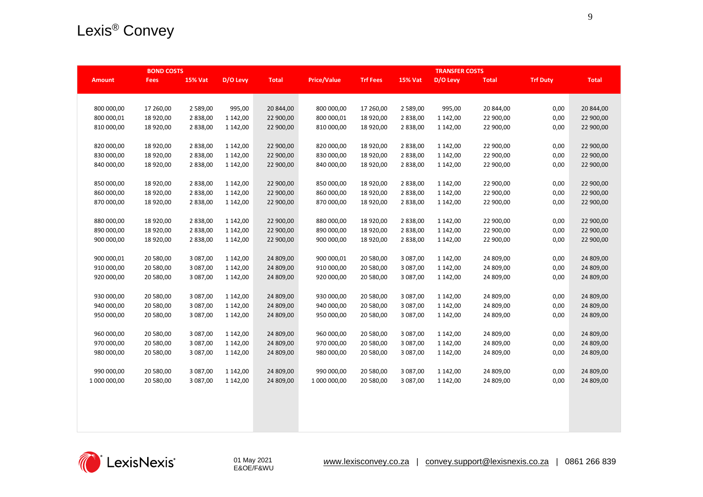|               | <b>BOND COSTS</b> |                |          |              |                    | <b>TRANSFER COSTS</b> |                |          |              |                 |              |
|---------------|-------------------|----------------|----------|--------------|--------------------|-----------------------|----------------|----------|--------------|-----------------|--------------|
| <b>Amount</b> | <b>Fees</b>       | <b>15% Vat</b> | D/O Levy | <b>Total</b> | <b>Price/Value</b> | <b>Trf Fees</b>       | <b>15% Vat</b> | D/O Levy | <b>Total</b> | <b>Trf Duty</b> | <b>Total</b> |
|               |                   |                |          |              |                    |                       |                |          |              |                 |              |
|               |                   |                |          |              |                    |                       |                |          |              |                 |              |
| 800 000,00    | 17 260,00         | 2 589,00       | 995,00   | 20 844,00    | 800 000,00         | 17 260,00             | 2 5 8 9,00     | 995,00   | 20 844,00    | 0,00            | 20 844,00    |
| 800 000,01    | 18 920,00         | 2 838,00       | 1 142,00 | 22 900,00    | 800 000,01         | 18 920,00             | 2 838,00       | 1 142,00 | 22 900,00    | 0,00            | 22 900,00    |
| 810 000,00    | 18 920,00         | 2 838,00       | 1 142,00 | 22 900,00    | 810 000,00         | 18 920,00             | 2 838,00       | 1 142,00 | 22 900,00    | 0,00            | 22 900,00    |
|               |                   |                |          |              |                    |                       |                |          |              |                 |              |
| 820 000,00    | 18 920,00         | 2 838,00       | 1 142,00 | 22 900,00    | 820 000,00         | 18 920,00             | 2 838,00       | 1 142,00 | 22 900,00    | 0,00            | 22 900,00    |
| 830 000,00    | 18 920,00         | 2 838,00       | 1 142,00 | 22 900,00    | 830 000,00         | 18 920,00             | 2 838,00       | 1 142,00 | 22 900,00    | 0,00            | 22 900,00    |
| 840 000,00    | 18 920,00         | 2 838,00       | 1 142,00 | 22 900,00    | 840 000,00         | 18 920,00             | 2 838,00       | 1 142,00 | 22 900,00    | 0,00            | 22 900,00    |
|               |                   |                |          |              |                    |                       |                |          |              |                 |              |
| 850 000,00    | 18 920,00         | 2 838,00       | 1 142,00 | 22 900,00    | 850 000,00         | 18 920,00             | 2 838,00       | 1 142,00 | 22 900,00    | 0,00            | 22 900,00    |
| 860 000,00    | 18 920,00         | 2 838,00       | 1 142,00 | 22 900,00    | 860 000,00         | 18 920,00             | 2 838,00       | 1 142,00 | 22 900,00    | 0,00            | 22 900,00    |
| 870 000,00    | 18 920,00         | 2 838,00       | 1 142,00 | 22 900,00    | 870 000,00         | 18 920,00             | 2 838,00       | 1 142,00 | 22 900,00    | 0,00            | 22 900,00    |
|               |                   |                |          |              |                    |                       |                |          |              |                 |              |
| 880 000,00    | 18 920,00         | 2 838,00       | 1 142,00 | 22 900,00    | 880 000,00         | 18 920,00             | 2 838,00       | 1 142,00 | 22 900,00    | 0,00            | 22 900,00    |
| 890 000,00    | 18 920,00         | 2 838,00       | 1 142,00 | 22 900,00    | 890 000,00         | 18 920,00             | 2 838,00       | 1 142,00 | 22 900,00    | 0,00            | 22 900,00    |
| 900 000,00    | 18 920,00         | 2 838,00       | 1 142,00 | 22 900,00    | 900 000,00         | 18 920,00             | 2 838,00       | 1 142,00 | 22 900,00    | 0,00            | 22 900,00    |
|               |                   |                |          |              |                    |                       |                |          |              |                 |              |
| 900 000,01    | 20 580,00         | 3 087,00       | 1 142,00 | 24 809,00    | 900 000,01         | 20 580,00             | 3 087,00       | 1 142,00 | 24 809,00    | 0,00            | 24 809,00    |
| 910 000,00    | 20 580,00         | 3 087,00       | 1 142,00 | 24 809,00    | 910 000,00         | 20 580,00             | 3 087,00       | 1 142,00 | 24 809,00    | 0,00            | 24 809,00    |
| 920 000,00    | 20 580,00         | 3 087,00       | 1 142,00 | 24 809,00    | 920 000,00         | 20 580,00             | 3 087,00       | 1 142,00 | 24 809,00    | 0,00            | 24 809,00    |
|               |                   |                |          |              |                    |                       |                |          |              |                 |              |
| 930 000,00    | 20 580,00         | 3 087,00       | 1 142,00 | 24 809,00    | 930 000,00         | 20 580,00             | 3 087,00       | 1 142,00 | 24 809,00    | 0,00            | 24 809,00    |
| 940 000,00    | 20 580,00         | 3 087,00       | 1 142,00 | 24 809,00    | 940 000,00         | 20 580,00             | 3 087,00       | 1 142,00 | 24 809,00    | 0,00            | 24 809,00    |
| 950 000,00    | 20 580,00         | 3 087,00       | 1 142,00 | 24 809,00    | 950 000,00         | 20 580,00             | 3 087,00       | 1 142,00 | 24 809,00    | 0,00            | 24 809,00    |
|               |                   |                |          |              |                    |                       |                |          |              |                 |              |
| 960 000,00    | 20 580,00         | 3 087,00       | 1 142,00 | 24 809,00    | 960 000,00         | 20 580,00             | 3 087,00       | 1 142,00 | 24 809,00    | 0,00            | 24 809,00    |
| 970 000,00    | 20 580,00         | 3 087,00       | 1 142,00 | 24 809,00    | 970 000,00         | 20 580,00             | 3 087,00       | 1 142,00 | 24 809,00    | 0,00            | 24 809,00    |
| 980 000,00    | 20 580,00         | 3 087,00       | 1 142,00 | 24 809,00    | 980 000,00         | 20 580,00             | 3 087,00       | 1 142,00 | 24 809,00    | 0,00            | 24 809,00    |
| 990 000,00    | 20 580,00         | 3 087,00       | 1 142,00 | 24 809,00    | 990 000,00         | 20 580,00             | 3 087,00       | 1 142,00 | 24 809,00    | 0,00            | 24 809,00    |
| 1 000 000,00  | 20 580,00         | 3 087,00       | 1 142,00 | 24 809,00    | 1 000 000,00       | 20 580,00             | 3 087,00       | 1 142,00 | 24 809,00    | 0,00            | 24 809,00    |
|               |                   |                |          |              |                    |                       |                |          |              |                 |              |
|               |                   |                |          |              |                    |                       |                |          |              |                 |              |
|               |                   |                |          |              |                    |                       |                |          |              |                 |              |
|               |                   |                |          |              |                    |                       |                |          |              |                 |              |
|               |                   |                |          |              |                    |                       |                |          |              |                 |              |
|               |                   |                |          |              |                    |                       |                |          |              |                 |              |

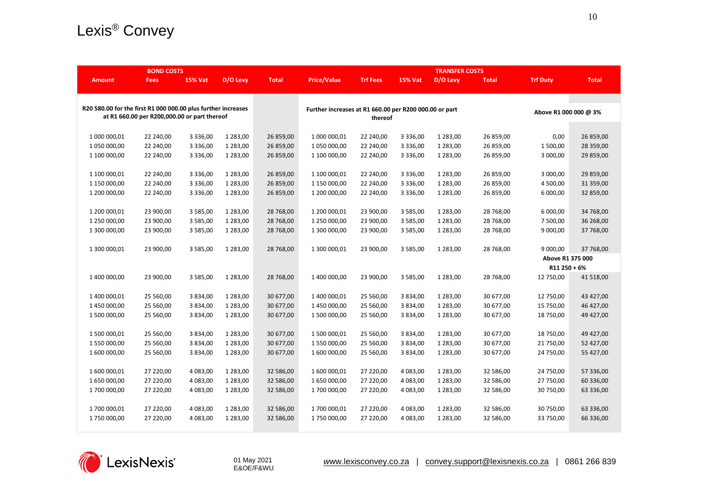|                                                               | <b>BOND COSTS</b>                            |                |          |              | <b>TRANSFER COSTS</b>                                  |                 |                |          |              |                       |              |
|---------------------------------------------------------------|----------------------------------------------|----------------|----------|--------------|--------------------------------------------------------|-----------------|----------------|----------|--------------|-----------------------|--------------|
| <b>Amount</b>                                                 | <b>Fees</b>                                  | <b>15% Vat</b> | D/O Levy | <b>Total</b> | <b>Price/Value</b>                                     | <b>Trf Fees</b> | <b>15% Vat</b> | D/O Levy | <b>Total</b> | <b>Trf Duty</b>       | <b>Total</b> |
|                                                               |                                              |                |          |              |                                                        |                 |                |          |              |                       |              |
|                                                               |                                              |                |          |              |                                                        |                 |                |          |              |                       |              |
| R20 580.00 for the first R1 000 000.00 plus further increases | at R1 660.00 per R200,000.00 or part thereof |                |          |              | Further increases at R1 660.00 per R200 000.00 or part |                 |                |          |              | Above R1 000 000 @ 3% |              |
|                                                               |                                              |                |          |              |                                                        | thereof         |                |          |              |                       |              |
| 1 000 000,01                                                  | 22 240,00                                    | 3 3 3 6 , 0 0  | 1 283,00 | 26 859,00    | 1 000 000,01                                           | 22 240,00       | 3 3 3 6 , 0 0  | 1 283,00 | 26 859,00    | 0,00                  | 26 859,00    |
| 1 050 000,00                                                  | 22 240,00                                    | 3 3 3 6 , 0 0  | 1 283,00 | 26 859,00    | 1 050 000,00                                           | 22 240,00       | 3 3 3 6 , 0 0  | 1 283,00 | 26 859,00    | 1 500,00              | 28 359,00    |
| 1 100 000,00                                                  | 22 240,00                                    | 3 3 3 6 , 0 0  | 1 283,00 | 26 859,00    | 1 100 000,00                                           | 22 240,00       | 3 3 3 6 , 0 0  | 1 283,00 | 26 859,00    | 3 000,00              | 29 859,00    |
|                                                               |                                              |                |          |              |                                                        |                 |                |          |              |                       |              |
| 1 100 000,01                                                  | 22 240,00                                    | 3 3 3 6 , 0 0  | 1 283,00 | 26 859,00    | 1 100 000,01                                           | 22 240,00       | 3 3 3 6 , 0 0  | 1 283,00 | 26 859,00    | 3 000,00              | 29 859,00    |
| 1 150 000,00                                                  | 22 240,00                                    | 3 3 3 6 , 0 0  | 1 283,00 | 26 859,00    | 1 150 000,00                                           | 22 240,00       | 3 3 3 6 , 0 0  | 1 283,00 | 26 859,00    | 4 500,00              | 31 359,00    |
| 1 200 000,00                                                  | 22 240,00                                    | 3 3 3 6 , 0 0  | 1 283,00 | 26 859,00    | 1 200 000,00                                           | 22 240,00       | 3 3 3 6 , 0 0  | 1 283,00 | 26 859,00    | 6 000,00              | 32 859,00    |
|                                                               |                                              |                |          |              |                                                        |                 |                |          |              |                       |              |
| 1 200 000,01                                                  | 23 900,00                                    | 3 585,00       | 1 283,00 | 28 768,00    | 1 200 000,01                                           | 23 900,00       | 3 5 8 5,00     | 1 283,00 | 28 768,00    | 6 000,00              | 34 768,00    |
| 1 250 000,00                                                  | 23 900,00                                    | 3 585,00       | 1 283,00 | 28 768,00    | 1 250 000,00                                           | 23 900,00       | 3 5 8 5 , 0 0  | 1 283,00 | 28 768,00    | 7 500,00              | 36 268,00    |
| 1 300 000,00                                                  | 23 900,00                                    | 3 585,00       | 1 283,00 | 28 768,00    | 1 300 000,00                                           | 23 900,00       | 3 5 8 5 , 0 0  | 1 283,00 | 28 768,00    | 9 000,00              | 37 768,00    |
|                                                               |                                              |                |          |              |                                                        |                 |                |          |              |                       |              |
| 1 300 000,01                                                  | 23 900,00                                    | 3 585,00       | 1 283,00 | 28 768,00    | 1 300 000,01                                           | 23 900,00       | 3 5 8 5 , 0 0  | 1 283,00 | 28 768,00    | 9 000,00              | 37 768,00    |
|                                                               |                                              |                |          |              |                                                        |                 |                |          |              | Above R1 375 000      |              |
|                                                               |                                              |                |          |              |                                                        |                 |                |          |              | $R11250 + 6%$         |              |
| 1 400 000,00                                                  | 23 900,00                                    | 3 585,00       | 1 283,00 | 28 768,00    | 1 400 000,00                                           | 23 900,00       | 3 5 8 5,00     | 1 283,00 | 28 768,00    | 12 750,00             | 41 518,00    |
|                                                               |                                              |                |          |              |                                                        |                 |                |          |              |                       |              |
| 1 400 000,01                                                  | 25 560,00                                    | 3 834,00       | 1 283,00 | 30 677,00    | 1 400 000,01                                           | 25 560,00       | 3 834,00       | 1 283,00 | 30 677,00    | 12 750,00             | 43 427,00    |
| 1 450 000,00                                                  | 25 560,00                                    | 3 834,00       | 1 283,00 | 30 677,00    | 1 450 000,00                                           | 25 560,00       | 3 834,00       | 1 283,00 | 30 677,00    | 15 750,00             | 46 427,00    |
| 1 500 000,00                                                  | 25 560,00                                    | 3 834,00       | 1 283,00 | 30 677,00    | 1 500 000,00                                           | 25 560,00       | 3 8 3 4 , 0 0  | 1 283,00 | 30 677,00    | 18 750,00             | 49 427,00    |
| 1 500 000,01                                                  | 25 560,00                                    | 3 834,00       | 1 283,00 | 30 677,00    | 1 500 000,01                                           | 25 560,00       | 3 8 3 4 , 0 0  | 1 283,00 | 30 677,00    | 18 750,00             | 49 427,00    |
| 1 550 000,00                                                  | 25 560,00                                    | 3 8 3 4 , 0 0  | 1 283,00 | 30 677,00    | 1 550 000,00                                           | 25 560,00       | 3 8 3 4 , 0 0  | 1 283,00 | 30 677,00    | 21 750,00             | 52 427,00    |
| 1 600 000,00                                                  | 25 560,00                                    | 3 834,00       | 1 283,00 | 30 677,00    | 1 600 000,00                                           | 25 560,00       | 3 8 3 4 , 0 0  | 1 283,00 | 30 677,00    | 24 750,00             | 55 427,00    |
|                                                               |                                              |                |          |              |                                                        |                 |                |          |              |                       |              |
| 1 600 000,01                                                  | 27 220,00                                    | 4 083,00       | 1 283,00 | 32 586,00    | 1 600 000,01                                           | 27 220,00       | 4 083,00       | 1 283,00 | 32 586,00    | 24 750,00             | 57 336,00    |
| 1 650 000,00                                                  | 27 220,00                                    | 4 083,00       | 1 283,00 | 32 586,00    | 1 650 000,00                                           | 27 220,00       | 4 083,00       | 1 283,00 | 32 586,00    | 27 750,00             | 60 336,00    |
| 1 700 000,00                                                  | 27 220,00                                    | 4 083,00       | 1 283,00 | 32 586,00    | 1 700 000,00                                           | 27 220,00       | 4 083,00       | 1 283,00 | 32 586,00    | 30 750,00             | 63 336,00    |
|                                                               |                                              |                |          |              |                                                        |                 |                |          |              |                       |              |
| 1700 000,01                                                   | 27 220,00                                    | 4 083,00       | 1 283,00 | 32 586,00    | 1700 000,01                                            | 27 220,00       | 4 083,00       | 1 283,00 | 32 586,00    | 30 750,00             | 63 336,00    |
| 1750 000,00                                                   | 27 220,00                                    | 4 083,00       | 1 283,00 | 32 586,00    | 1750 000,00                                            | 27 220,00       | 4 083,00       | 1 283,00 | 32 586,00    | 33 750,00             | 66 336,00    |
|                                                               |                                              |                |          |              |                                                        |                 |                |          |              |                       |              |

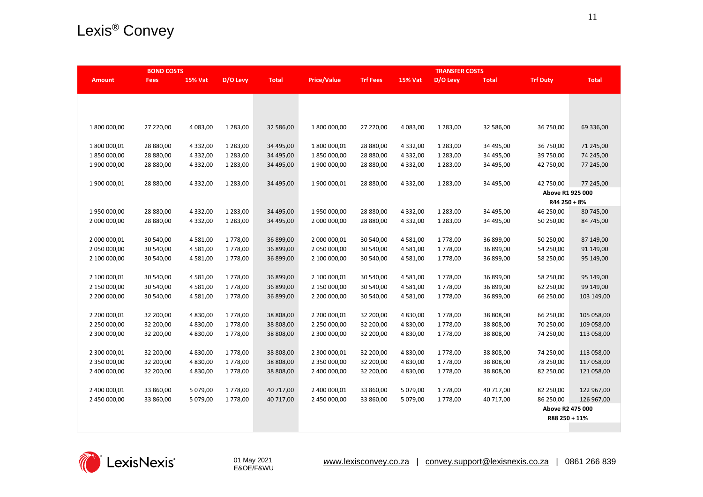|               | <b>BOND COSTS</b> |                |          |              |                    |                 |                | <b>TRANSFER COSTS</b> |              |                  |              |
|---------------|-------------------|----------------|----------|--------------|--------------------|-----------------|----------------|-----------------------|--------------|------------------|--------------|
| <b>Amount</b> | <b>Fees</b>       | <b>15% Vat</b> | D/O Levy | <b>Total</b> | <b>Price/Value</b> | <b>Trf Fees</b> | <b>15% Vat</b> | D/O Levy              | <b>Total</b> | <b>Trf Duty</b>  | <b>Total</b> |
|               |                   |                |          |              |                    |                 |                |                       |              |                  |              |
|               |                   |                |          |              |                    |                 |                |                       |              |                  |              |
|               |                   |                |          |              |                    |                 |                |                       |              |                  |              |
|               |                   |                |          |              |                    |                 |                |                       |              |                  |              |
| 1 800 000,00  | 27 220,00         | 4 083,00       | 1 283,00 | 32 586,00    | 1 800 000,00       | 27 220,00       | 4 083,00       | 1 283,00              | 32 586,00    | 36 750,00        | 69 336,00    |
|               |                   |                |          |              |                    |                 |                |                       |              |                  |              |
| 1 800 000,01  | 28 880,00         | 4 3 3 2 , 0 0  | 1 283,00 | 34 495,00    | 1 800 000,01       | 28 880,00       | 4 3 3 2 , 0 0  | 1 283,00              | 34 495,00    | 36 750,00        | 71 245,00    |
| 1850000,00    | 28 880,00         | 4 332,00       | 1 283,00 | 34 495,00    | 1850000,00         | 28 880,00       | 4 3 3 2 , 0 0  | 1 283,00              | 34 495,00    | 39 750,00        | 74 245,00    |
| 1 900 000,00  | 28 880,00         | 4 3 3 2 , 0 0  | 1 283,00 | 34 495,00    | 1 900 000,00       | 28 880,00       | 4 3 3 2 , 0 0  | 1 283,00              | 34 495,00    | 42 750,00        | 77 245,00    |
|               |                   |                |          |              |                    |                 |                |                       |              |                  |              |
| 1 900 000,01  | 28 880,00         | 4 332,00       | 1 283,00 | 34 495,00    | 1 900 000,01       | 28 880,00       | 4 3 3 2 , 0 0  | 1 283,00              | 34 495,00    | 42 750,00        | 77 245,00    |
|               |                   |                |          |              |                    |                 |                |                       |              | Above R1 925 000 |              |
|               |                   |                |          |              |                    |                 |                |                       |              | $R44250 + 8%$    |              |
| 1950000,00    | 28 880,00         | 4 3 3 2 , 0 0  | 1 283,00 | 34 495,00    | 1 950 000,00       | 28 880,00       | 4 3 3 2 , 0 0  | 1 283,00              | 34 495,00    | 46 250,00        | 80 745,00    |
| 2 000 000,00  | 28 880,00         | 4 3 3 2 , 0 0  | 1 283,00 | 34 495,00    | 2 000 000,00       | 28 880,00       | 4 3 3 2 , 0 0  | 1 283,00              | 34 495,00    | 50 250,00        | 84 745,00    |
|               |                   |                |          |              |                    |                 |                |                       |              |                  |              |
| 2 000 000,01  | 30 540,00         | 4 581,00       | 1778,00  | 36 899,00    | 2 000 000,01       | 30 540,00       | 4 5 8 1 ,00    | 1 778,00              | 36 899,00    | 50 250,00        | 87 149,00    |
| 2 050 000,00  | 30 540,00         | 4 5 8 1 ,00    | 1 778,00 | 36 899,00    | 2 050 000,00       | 30 540,00       | 4 5 8 1 ,00    | 1778,00               | 36 899,00    | 54 250,00        | 91 149,00    |
| 2 100 000,00  | 30 540,00         | 4 581,00       | 1778,00  | 36 899,00    | 2 100 000,00       | 30 540,00       | 4 5 8 1,00     | 1778,00               | 36 899,00    | 58 250,00        | 95 149,00    |
|               |                   |                |          |              |                    |                 |                |                       |              |                  |              |
| 2 100 000,01  | 30 540,00         | 4 581,00       | 1 778,00 | 36 899,00    | 2 100 000,01       | 30 540,00       | 4 5 8 1 ,00    | 1778,00               | 36 899,00    | 58 250,00        | 95 149,00    |
| 2 150 000,00  | 30 540,00         | 4 581,00       | 1 778,00 | 36 899,00    | 2 150 000,00       | 30 540,00       | 4 5 8 1,00     | 1778,00               | 36 899,00    | 62 250,00        | 99 149,00    |
| 2 200 000,00  | 30 540,00         | 4 581,00       | 1 778,00 | 36 899,00    | 2 200 000,00       | 30 540,00       | 4 5 8 1 ,00    | 1778,00               | 36 899,00    | 66 250,00        | 103 149,00   |
|               |                   |                |          |              |                    |                 |                |                       |              |                  |              |
| 2 200 000,01  | 32 200,00         | 4 830,00       | 1778,00  | 38 808,00    | 2 200 000,01       | 32 200,00       | 4 830,00       | 1778,00               | 38 808,00    | 66 250,00        | 105 058,00   |
| 2 250 000,00  | 32 200,00         | 4 830,00       | 1778,00  | 38 808,00    | 2 250 000,00       | 32 200,00       | 4 830,00       | 1 778,00              | 38 808,00    | 70 250,00        | 109 058,00   |
| 2 300 000,00  | 32 200,00         | 4 830,00       | 1 778,00 | 38 808,00    | 2 300 000,00       | 32 200,00       | 4 830,00       | 1778,00               | 38 808,00    | 74 250,00        | 113 058,00   |
|               |                   |                |          |              |                    |                 |                |                       |              |                  |              |
| 2 300 000,01  | 32 200,00         | 4 830,00       | 1778,00  | 38 808,00    | 2 300 000,01       | 32 200,00       | 4 830,00       | 1778,00               | 38 808,00    | 74 250,00        | 113 058,00   |
| 2 350 000,00  | 32 200,00         | 4 830,00       | 1 778,00 | 38 808,00    | 2 350 000,00       | 32 200,00       | 4 830,00       | 1778,00               | 38 808,00    | 78 250,00        | 117 058,00   |
| 2 400 000,00  | 32 200,00         | 4 830,00       | 1778,00  | 38 808,00    | 2 400 000,00       | 32 200,00       | 4 830,00       | 1778,00               | 38 808,00    | 82 250,00        | 121 058,00   |
|               |                   |                |          |              |                    |                 |                |                       |              |                  |              |
| 2 400 000,01  | 33 860,00         | 5 079,00       | 1778,00  | 40 717,00    | 2 400 000,01       | 33 860,00       | 5 079,00       | 1778,00               | 40 717,00    | 82 250,00        | 122 967,00   |
| 2 450 000,00  | 33 860,00         | 5 079,00       | 1778,00  | 40 717,00    | 2 450 000,00       | 33 860,00       | 5 079,00       | 1778,00               | 40 717,00    | 86 250,00        | 126 967,00   |
|               |                   |                |          |              |                    |                 |                |                       |              | Above R2 475 000 |              |
|               |                   |                |          |              |                    |                 |                |                       |              | R88 250 + 11%    |              |
|               |                   |                |          |              |                    |                 |                |                       |              |                  |              |

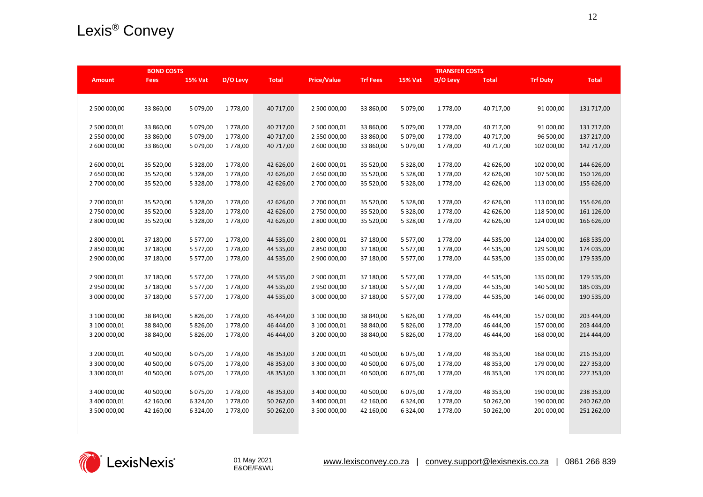|               | <b>BOND COSTS</b> |                |          |              |                    |                 |                | <b>TRANSFER COSTS</b> |              |                 |              |
|---------------|-------------------|----------------|----------|--------------|--------------------|-----------------|----------------|-----------------------|--------------|-----------------|--------------|
| <b>Amount</b> | <b>Fees</b>       | <b>15% Vat</b> | D/O Levy | <b>Total</b> | <b>Price/Value</b> | <b>Trf Fees</b> | <b>15% Vat</b> | D/O Levy              | <b>Total</b> | <b>Trf Duty</b> | <b>Total</b> |
|               |                   |                |          |              |                    |                 |                |                       |              |                 |              |
|               |                   |                |          |              |                    |                 |                |                       |              |                 |              |
| 2 500 000,00  | 33 860,00         | 5 079,00       | 1 778,00 | 40 717,00    | 2 500 000,00       | 33 860,00       | 5 079,00       | 1778,00               | 40 717,00    | 91 000,00       | 131 717,00   |
| 2 500 000,01  | 33 860,00         | 5 079,00       | 1778,00  | 40 717,00    | 2 500 000,01       | 33 860,00       | 5 079,00       | 1778,00               | 40 717,00    | 91 000,00       | 131 717,00   |
| 2 550 000,00  | 33 860,00         | 5 079,00       | 1 778,00 | 40 717,00    | 2 550 000,00       | 33 860,00       | 5 079,00       | 1 778,00              | 40 717,00    | 96 500,00       | 137 217,00   |
| 2 600 000,00  | 33 860,00         | 5 079,00       | 1778,00  | 40 717,00    | 2 600 000,00       | 33 860,00       | 5 079,00       | 1 778,00              | 40 717,00    | 102 000,00      | 142 717,00   |
|               |                   |                |          |              |                    |                 |                |                       |              |                 |              |
| 2 600 000,01  | 35 520,00         | 5 328,00       | 1778,00  | 42 626,00    | 2 600 000,01       | 35 520,00       | 5 328,00       | 1 778,00              | 42 626,00    | 102 000,00      | 144 626,00   |
| 2 650 000,00  | 35 520,00         | 5 328,00       | 1778,00  | 42 626,00    | 2 650 000,00       | 35 520,00       | 5 3 2 8 , 0 0  | 1 778,00              | 42 626,00    | 107 500,00      | 150 126,00   |
| 2 700 000,00  | 35 520,00         | 5 328,00       | 1778,00  | 42 626,00    | 2 700 000,00       | 35 520,00       | 5 328,00       | 1 778,00              | 42 626,00    | 113 000,00      | 155 626,00   |
|               |                   |                |          |              |                    |                 |                |                       |              |                 |              |
| 2 700 000,01  | 35 520,00         | 5 328,00       | 1778,00  | 42 626,00    | 2 700 000,01       | 35 520,00       | 5 3 2 8 , 0 0  | 1 778,00              | 42 626,00    | 113 000,00      | 155 626,00   |
| 2750000,00    | 35 520,00         | 5 328,00       | 1 778,00 | 42 626,00    | 2 750 000,00       | 35 520,00       | 5 328,00       | 1 778,00              | 42 626,00    | 118 500,00      | 161 126,00   |
| 2 800 000,00  | 35 520,00         | 5 328,00       | 1778,00  | 42 626,00    | 2 800 000,00       | 35 520,00       | 5 328,00       | 1 778,00              | 42 626,00    | 124 000,00      | 166 626,00   |
|               |                   |                |          |              |                    |                 |                |                       |              |                 |              |
| 2 800 000,01  | 37 180,00         | 5 577,00       | 1778,00  | 44 535,00    | 2 800 000,01       | 37 180,00       | 5 577,00       | 1 778,00              | 44 535,00    | 124 000,00      | 168 535,00   |
| 2 850 000,00  | 37 180,00         | 5 577,00       | 1 778,00 | 44 535,00    | 2 850 000,00       | 37 180,00       | 5 577,00       | 1 778,00              | 44 535,00    | 129 500,00      | 174 035,00   |
| 2 900 000,00  | 37 180,00         | 5 577,00       | 1778,00  | 44 535,00    | 2 900 000,00       | 37 180,00       | 5 577,00       | 1 778,00              | 44 535,00    | 135 000,00      | 179 535,00   |
|               |                   |                |          |              |                    |                 |                |                       |              |                 |              |
| 2 900 000,01  | 37 180,00         | 5 577,00       | 1 778,00 | 44 535,00    | 2 900 000,01       | 37 180,00       | 5 577,00       | 1 778,00              | 44 535,00    | 135 000,00      | 179 535,00   |
| 2 950 000,00  | 37 180,00         | 5 577,00       | 1 778,00 | 44 535,00    | 2 950 000,00       | 37 180,00       | 5 577,00       | 1778,00               | 44 535,00    | 140 500,00      | 185 035,00   |
| 3 000 000,00  | 37 180,00         | 5 577,00       | 1778,00  | 44 535,00    | 3 000 000,00       | 37 180,00       | 5 577,00       | 1778,00               | 44 535,00    | 146 000,00      | 190 535,00   |
|               |                   |                |          |              |                    |                 |                |                       |              |                 |              |
| 3 100 000,00  | 38 840,00         | 5 826,00       | 1778,00  | 46 444,00    | 3 100 000,00       | 38 840,00       | 5 826,00       | 1 778,00              | 46 444,00    | 157 000,00      | 203 444,00   |
| 3 100 000,01  | 38 840,00         | 5 826,00       | 1778,00  | 46 444,00    | 3 100 000,01       | 38 840,00       | 5 826,00       | 1 778,00              | 46 444,00    | 157 000,00      | 203 444,00   |
| 3 200 000,00  | 38 840,00         | 5 826,00       | 1778,00  | 46 444,00    | 3 200 000,00       | 38 840,00       | 5 826,00       | 1 778,00              | 46 444,00    | 168 000,00      | 214 444,00   |
|               |                   |                |          |              |                    |                 |                |                       |              |                 |              |
| 3 200 000,01  | 40 500,00         | 6 075,00       | 1 778,00 | 48 353,00    | 3 200 000,01       | 40 500,00       | 6 075,00       | 1 778,00              | 48 353,00    | 168 000,00      | 216 353,00   |
| 3 300 000,00  | 40 500,00         | 6 075,00       | 1 778,00 | 48 353,00    | 3 300 000,00       | 40 500,00       | 6 075,00       | 1778,00               | 48 353,00    | 179 000,00      | 227 353,00   |
| 3 300 000,01  | 40 500,00         | 6 075,00       | 1778,00  | 48 353,00    | 3 300 000,01       | 40 500,00       | 6 075,00       | 1 778,00              | 48 353,00    | 179 000,00      | 227 353,00   |
|               |                   |                |          |              |                    |                 |                |                       |              |                 |              |
| 3 400 000,00  | 40 500,00         | 6 075,00       | 1778,00  | 48 353,00    | 3 400 000,00       | 40 500,00       | 6 075,00       | 1 778,00              | 48 353,00    | 190 000,00      | 238 353,00   |
| 3 400 000,01  | 42 160,00         | 6 324,00       | 1778,00  | 50 262,00    | 3 400 000,01       | 42 160,00       | 6 3 2 4 , 0 0  | 1 778,00              | 50 262,00    | 190 000,00      | 240 262,00   |
| 3 500 000,00  | 42 160,00         | 6 324,00       | 1778,00  | 50 262,00    | 3 500 000,00       | 42 160,00       | 6 3 2 4 , 0 0  | 1 778,00              | 50 262,00    | 201 000,00      | 251 262,00   |
|               |                   |                |          |              |                    |                 |                |                       |              |                 |              |
|               |                   |                |          |              |                    |                 |                |                       |              |                 |              |

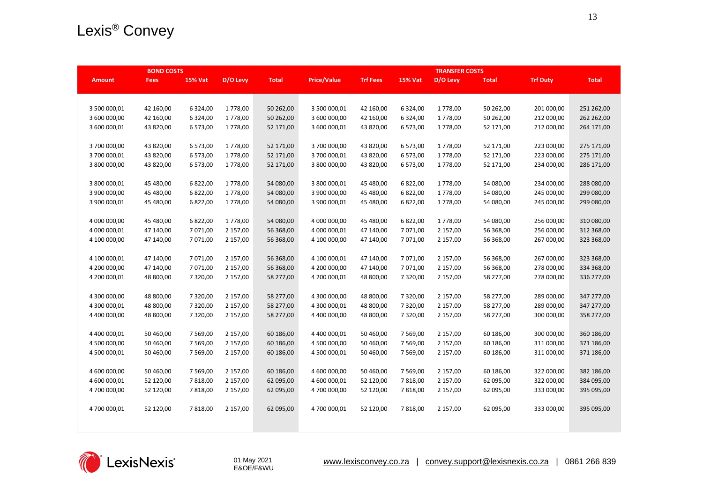|               | <b>BOND COSTS</b> |                |          |              |                    |                 |                | <b>TRANSFER COSTS</b> |              |                 |              |
|---------------|-------------------|----------------|----------|--------------|--------------------|-----------------|----------------|-----------------------|--------------|-----------------|--------------|
| <b>Amount</b> | <b>Fees</b>       | <b>15% Vat</b> | D/O Levy | <b>Total</b> | <b>Price/Value</b> | <b>Trf Fees</b> | <b>15% Vat</b> | D/O Levy              | <b>Total</b> | <b>Trf Duty</b> | <b>Total</b> |
|               |                   |                |          |              |                    |                 |                |                       |              |                 |              |
|               |                   |                |          |              |                    |                 |                |                       |              |                 |              |
| 3 500 000,01  | 42 160,00         | 6 324,00       | 1 778,00 | 50 262,00    | 3 500 000,01       | 42 160,00       | 6 3 2 4 , 0 0  | 1778,00               | 50 262,00    | 201 000,00      | 251 262,00   |
| 3 600 000,00  | 42 160,00         | 6 324,00       | 1 778,00 | 50 262,00    | 3 600 000,00       | 42 160,00       | 6 3 2 4 , 0 0  | 1 778,00              | 50 262,00    | 212 000,00      | 262 262,00   |
| 3 600 000,01  | 43 820,00         | 6 573,00       | 1778,00  | 52 171,00    | 3 600 000,01       | 43 820,00       | 6 573,00       | 1 778,00              | 52 171,00    | 212 000,00      | 264 171,00   |
|               |                   |                |          |              |                    |                 |                |                       |              |                 |              |
| 3700 000,00   | 43 820,00         | 6 573,00       | 1 778,00 | 52 171,00    | 3 700 000,00       | 43 820,00       | 6 573,00       | 1778,00               | 52 171,00    | 223 000,00      | 275 171,00   |
| 3 700 000,01  | 43 820,00         | 6 573,00       | 1 778,00 | 52 171,00    | 3 700 000,01       | 43 820,00       | 6 573,00       | 1 778,00              | 52 171,00    | 223 000,00      | 275 171,00   |
| 3 800 000,00  | 43 820,00         | 6 573,00       | 1778,00  | 52 171,00    | 3 800 000,00       | 43 820,00       | 6 573,00       | 1 778,00              | 52 171,00    | 234 000,00      | 286 171,00   |
|               |                   |                |          |              |                    |                 |                |                       |              |                 |              |
| 3 800 000,01  | 45 480,00         | 6 822,00       | 1778,00  | 54 080,00    | 3 800 000,01       | 45 480,00       | 6 822,00       | 1778,00               | 54 080,00    | 234 000,00      | 288 080,00   |
| 3 900 000,00  | 45 480,00         | 6 822,00       | 1 778,00 | 54 080,00    | 3 900 000,00       | 45 480,00       | 6 822,00       | 1 778,00              | 54 080,00    | 245 000,00      | 299 080,00   |
| 3 900 000,01  | 45 480,00         | 6 822,00       | 1 778,00 | 54 080,00    | 3 900 000,01       | 45 480,00       | 6 822,00       | 1 778,00              | 54 080,00    | 245 000,00      | 299 080,00   |
|               |                   |                |          |              |                    |                 |                |                       |              |                 |              |
| 4 000 000,00  | 45 480,00         | 6 822,00       | 1778,00  | 54 080,00    | 4 000 000,00       | 45 480,00       | 6 822,00       | 1 778,00              | 54 080,00    | 256 000,00      | 310 080,00   |
| 4 000 000,01  | 47 140,00         | 7 071,00       | 2 157,00 | 56 368,00    | 4 000 000,01       | 47 140,00       | 7 071,00       | 2 157,00              | 56 368,00    | 256 000,00      | 312 368,00   |
| 4 100 000,00  | 47 140,00         | 7 071,00       | 2 157,00 | 56 368,00    | 4 100 000,00       | 47 140,00       | 7 071,00       | 2 157,00              | 56 368,00    | 267 000,00      | 323 368,00   |
|               |                   |                |          |              |                    |                 |                |                       |              |                 |              |
| 4 100 000,01  | 47 140,00         | 7 071,00       | 2 157,00 | 56 368,00    | 4 100 000,01       | 47 140,00       | 7 071,00       | 2 157,00              | 56 368,00    | 267 000,00      | 323 368,00   |
| 4 200 000,00  | 47 140,00         | 7 071,00       | 2 157,00 | 56 368,00    | 4 200 000,00       | 47 140,00       | 7 071,00       | 2 157,00              | 56 368,00    | 278 000,00      | 334 368,00   |
| 4 200 000,01  | 48 800,00         | 7 320,00       | 2 157,00 | 58 277,00    | 4 200 000,01       | 48 800,00       | 7 3 2 0,00     | 2 157,00              | 58 277,00    | 278 000,00      | 336 277,00   |
|               |                   |                |          |              |                    |                 |                |                       |              |                 |              |
| 4 300 000,00  | 48 800,00         | 7 320,00       | 2 157,00 | 58 277,00    | 4 300 000,00       | 48 800,00       | 7 3 2 0,00     | 2 157,00              | 58 277,00    | 289 000,00      | 347 277,00   |
| 4 300 000,01  | 48 800,00         | 7 320,00       | 2 157,00 | 58 277,00    | 4 300 000,01       | 48 800,00       | 7 3 2 0,00     | 2 157,00              | 58 277,00    | 289 000,00      | 347 277,00   |
| 4 400 000,00  | 48 800,00         | 7 320,00       | 2 157,00 | 58 277,00    | 4 400 000,00       | 48 800,00       | 7 3 2 0 , 0 0  | 2 157,00              | 58 277,00    | 300 000,00      | 358 277,00   |
|               |                   |                |          |              |                    |                 |                |                       |              |                 |              |
| 4 400 000,01  | 50 460,00         | 7 569,00       | 2 157,00 | 60 186,00    | 4 400 000,01       | 50 460,00       | 7 5 69,00      | 2 157,00              | 60 186,00    | 300 000,00      | 360 186,00   |
| 4 500 000,00  | 50 460,00         | 7 569,00       | 2 157,00 | 60 186,00    | 4 500 000,00       | 50 460,00       | 7 5 69,00      | 2 157,00              | 60 186,00    | 311 000,00      | 371 186,00   |
| 4 500 000,01  | 50 460,00         | 7 5 69,00      | 2 157,00 | 60 186,00    | 4 500 000,01       | 50 460,00       | 7 5 69,00      | 2 157,00              | 60 186,00    | 311 000,00      | 371 186,00   |
|               |                   |                |          |              |                    |                 |                |                       |              |                 |              |
| 4 600 000,00  | 50 460,00         | 7 569,00       | 2 157,00 | 60 186,00    | 4 600 000,00       | 50 460,00       | 7 5 69,00      | 2 157,00              | 60 186,00    | 322 000,00      | 382 186,00   |
| 4 600 000,01  | 52 120,00         | 7 818,00       | 2 157,00 | 62 095,00    | 4 600 000,01       | 52 120,00       | 7818,00        | 2 157,00              | 62 095,00    | 322 000,00      | 384 095,00   |
| 4 700 000,00  | 52 120,00         | 7 818,00       | 2 157,00 | 62 095,00    | 4 700 000,00       | 52 120,00       | 7818,00        | 2 157,00              | 62 095,00    | 333 000,00      | 395 095,00   |
|               |                   |                |          |              |                    |                 |                |                       |              |                 |              |
| 4 700 000,01  | 52 120,00         | 7 818,00       | 2 157,00 | 62 095,00    | 4 700 000,01       | 52 120,00       | 7818,00        | 2 157,00              | 62 095,00    | 333 000,00      | 395 095,00   |
|               |                   |                |          |              |                    |                 |                |                       |              |                 |              |
|               |                   |                |          |              |                    |                 |                |                       |              |                 |              |

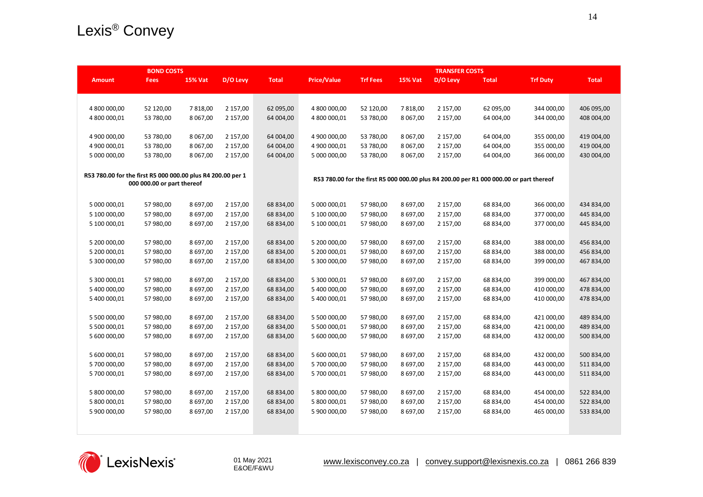|                                                             | <b>BOND COSTS</b>          |                |          |              |                    |                 |                | <b>TRANSFER COSTS</b> |                                                                                         |                 |              |
|-------------------------------------------------------------|----------------------------|----------------|----------|--------------|--------------------|-----------------|----------------|-----------------------|-----------------------------------------------------------------------------------------|-----------------|--------------|
| <b>Amount</b>                                               | <b>Fees</b>                | <b>15% Vat</b> | D/O Levy | <b>Total</b> | <b>Price/Value</b> | <b>Trf Fees</b> | <b>15% Vat</b> | D/O Levy              | <b>Total</b>                                                                            | <b>Trf Duty</b> | <b>Total</b> |
|                                                             |                            |                |          |              |                    |                 |                |                       |                                                                                         |                 |              |
|                                                             |                            |                |          |              |                    |                 |                |                       |                                                                                         |                 |              |
| 4 800 000,00                                                | 52 120,00                  | 7 818,00       | 2 157,00 | 62 095,00    | 4 800 000,00       | 52 120,00       | 7818,00        | 2 157,00              | 62 095,00                                                                               | 344 000,00      | 406 095,00   |
| 4 800 000,01                                                | 53 780,00                  | 8 067,00       | 2 157,00 | 64 004,00    | 4 800 000,01       | 53 780,00       | 8 067,00       | 2 157,00              | 64 004,00                                                                               | 344 000,00      | 408 004,00   |
|                                                             |                            |                |          |              |                    |                 |                |                       |                                                                                         |                 |              |
| 4 900 000,00                                                | 53 780,00                  | 8 067,00       | 2 157,00 | 64 004,00    | 4 900 000,00       | 53 780,00       | 8 067,00       | 2 157,00              | 64 004,00                                                                               | 355 000,00      | 419 004,00   |
| 4 900 000,01                                                | 53 780,00                  | 8 067,00       | 2 157,00 | 64 004,00    | 4 900 000,01       | 53 780,00       | 8 067,00       | 2 157,00              | 64 004,00                                                                               | 355 000,00      | 419 004,00   |
| 5 000 000,00                                                | 53 780,00                  | 8 067,00       | 2 157,00 | 64 004,00    | 5 000 000,00       | 53 780,00       | 8 067,00       | 2 157,00              | 64 004,00                                                                               | 366 000,00      | 430 004,00   |
|                                                             |                            |                |          |              |                    |                 |                |                       |                                                                                         |                 |              |
| R53 780.00 for the first R5 000 000.00 plus R4 200.00 per 1 |                            |                |          |              |                    |                 |                |                       | R53 780.00 for the first R5 000 000.00 plus R4 200.00 per R1 000 000.00 or part thereof |                 |              |
|                                                             | 000 000.00 or part thereof |                |          |              |                    |                 |                |                       |                                                                                         |                 |              |
|                                                             |                            |                |          |              |                    |                 |                |                       |                                                                                         |                 |              |
| 5 000 000,01                                                | 57 980,00                  | 8 697,00       | 2 157,00 | 68 834,00    | 5 000 000,01       | 57 980,00       | 8 697,00       | 2 157,00              | 68 834,00                                                                               | 366 000,00      | 434 834,00   |
| 5 100 000,00                                                | 57 980,00                  | 8 697,00       | 2 157,00 | 68 834,00    | 5 100 000,00       | 57 980,00       | 8 697,00       | 2 157,00              | 68 834,00                                                                               | 377 000,00      | 445 834,00   |
| 5 100 000,01                                                | 57 980,00                  | 8 697,00       | 2 157,00 | 68 834,00    | 5 100 000,01       | 57 980,00       | 8 697,00       | 2 157,00              | 68 834,00                                                                               | 377 000,00      | 445 834,00   |
|                                                             |                            |                |          |              |                    |                 |                |                       |                                                                                         |                 |              |
| 5 200 000,00                                                | 57 980,00                  | 8 697,00       | 2 157,00 | 68 834,00    | 5 200 000,00       | 57 980,00       | 8 697,00       | 2 157,00              | 68 834,00                                                                               | 388 000,00      | 456 834,00   |
| 5 200 000,01                                                | 57 980,00                  | 8 697,00       | 2 157,00 | 68 834,00    | 5 200 000,01       | 57 980,00       | 8 697,00       | 2 157,00              | 68 834,00                                                                               | 388 000,00      | 456 834,00   |
| 5 300 000,00                                                | 57 980,00                  | 8 697,00       | 2 157,00 | 68 834,00    | 5 300 000,00       | 57 980,00       | 8 697,00       | 2 157,00              | 68 834,00                                                                               | 399 000,00      | 467 834,00   |
|                                                             |                            |                |          |              |                    |                 |                |                       |                                                                                         |                 |              |
| 5 300 000,01                                                | 57 980,00                  | 8 697,00       | 2 157,00 | 68 834,00    | 5 300 000,01       | 57 980,00       | 8 697,00       | 2 157,00              | 68 834,00                                                                               | 399 000,00      | 467 834,00   |
| 5 400 000,00                                                | 57 980,00                  | 8 697,00       | 2 157,00 | 68 834,00    | 5 400 000,00       | 57 980,00       | 8 697,00       | 2 157,00              | 68 834,00                                                                               | 410 000,00      | 478 834,00   |
| 5 400 000,01                                                | 57 980,00                  | 8 697,00       | 2 157,00 | 68 834,00    | 5 400 000,01       | 57 980,00       | 8 697,00       | 2 157,00              | 68 834,00                                                                               | 410 000,00      | 478 834,00   |
|                                                             |                            |                |          |              |                    |                 |                |                       |                                                                                         |                 |              |
| 5 500 000,00                                                | 57 980,00                  | 8 697,00       | 2 157,00 | 68 834,00    | 5 500 000,00       | 57 980,00       | 8 697,00       | 2 157,00              | 68 834,00                                                                               | 421 000,00      | 489 834,00   |
| 5 500 000,01                                                | 57 980,00                  | 8 697,00       | 2 157,00 | 68 834,00    | 5 500 000,01       | 57 980,00       | 8 697,00       | 2 157,00              | 68 834,00                                                                               | 421 000,00      | 489 834,00   |
| 5 600 000,00                                                | 57 980,00                  | 8 697,00       | 2 157,00 | 68 834,00    | 5 600 000,00       | 57 980,00       | 8 697,00       | 2 157,00              | 68 834,00                                                                               | 432 000,00      | 500 834,00   |
|                                                             |                            |                |          |              |                    |                 |                |                       |                                                                                         |                 |              |
| 5 600 000,01                                                | 57 980,00                  | 8 697,00       | 2 157,00 | 68 834,00    | 5 600 000,01       | 57 980,00       | 8 697,00       | 2 157,00              | 68 834,00                                                                               | 432 000,00      | 500 834,00   |
| 5 700 000,00                                                | 57 980,00                  | 8 697,00       | 2 157,00 | 68 834,00    | 5 700 000,00       | 57 980,00       | 8 697,00       | 2 157,00              | 68 834,00                                                                               | 443 000,00      | 511 834,00   |
| 5 700 000,01                                                | 57 980,00                  | 8 697,00       | 2 157,00 | 68 834,00    | 5 700 000,01       | 57 980,00       | 8 697,00       | 2 157,00              | 68 834,00                                                                               | 443 000,00      | 511 834,00   |
|                                                             |                            |                |          |              |                    |                 |                |                       |                                                                                         |                 |              |
| 5 800 000,00                                                | 57 980,00                  | 8 697,00       | 2 157,00 | 68 834,00    | 5 800 000,00       | 57 980,00       | 8 697,00       | 2 157,00              | 68 834,00                                                                               | 454 000,00      | 522 834,00   |
| 5 800 000,01                                                | 57 980,00                  | 8 697,00       | 2 157,00 | 68 834,00    | 5 800 000,01       | 57 980,00       | 8 697,00       | 2 157,00              | 68 834,00                                                                               | 454 000,00      | 522 834,00   |
| 5 900 000,00                                                | 57 980,00                  | 8 697,00       | 2 157,00 | 68 834,00    | 5 900 000,00       | 57 980,00       | 8 697,00       | 2 157,00              | 68 834,00                                                                               | 465 000,00      | 533 834,00   |
|                                                             |                            |                |          |              |                    |                 |                |                       |                                                                                         |                 |              |
|                                                             |                            |                |          |              |                    |                 |                |                       |                                                                                         |                 |              |

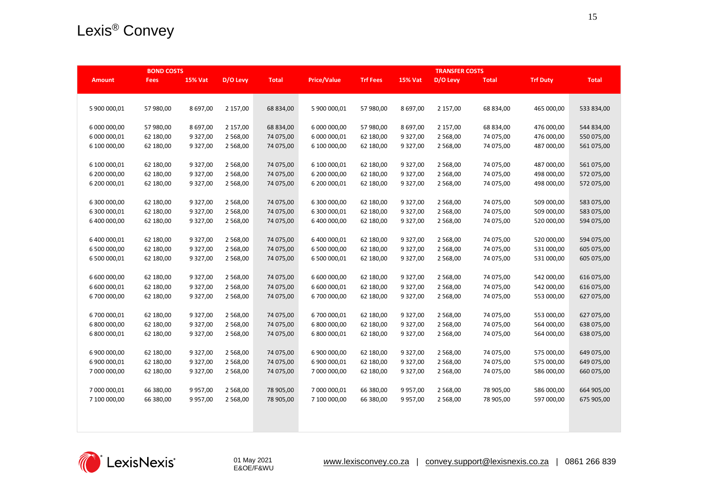|               | <b>BOND COSTS</b> |                |           |              | <b>TRANSFER COSTS</b> |                 |                |           |              |                 |              |  |
|---------------|-------------------|----------------|-----------|--------------|-----------------------|-----------------|----------------|-----------|--------------|-----------------|--------------|--|
| <b>Amount</b> | <b>Fees</b>       | <b>15% Vat</b> | D/O Levy  | <b>Total</b> | <b>Price/Value</b>    | <b>Trf Fees</b> | <b>15% Vat</b> | D/O Levy  | <b>Total</b> | <b>Trf Duty</b> | <b>Total</b> |  |
|               |                   |                |           |              |                       |                 |                |           |              |                 |              |  |
|               |                   |                |           |              |                       |                 |                |           |              |                 |              |  |
| 5 900 000,01  | 57 980,00         | 8 697,00       | 2 157,00  | 68 834,00    | 5 900 000,01          | 57 980,00       | 8 697,00       | 2 157,00  | 68 834,00    | 465 000,00      | 533 834,00   |  |
|               |                   |                |           |              |                       |                 |                |           |              |                 |              |  |
| 6 000 000,00  | 57 980,00         | 8 697,00       | 2 157,00  | 68 834,00    | 6 000 000,00          | 57 980,00       | 8 697,00       | 2 157,00  | 68 834,00    | 476 000,00      | 544 834,00   |  |
| 6 000 000,01  | 62 180,00         | 9 327,00       | 2 568,00  | 74 075,00    | 6 000 000,01          | 62 180,00       | 9 3 2 7 , 0 0  | 2 568,00  | 74 075,00    | 476 000,00      | 550 075,00   |  |
| 6 100 000,00  | 62 180,00         | 9 327,00       | 2 568,00  | 74 075,00    | 6 100 000,00          | 62 180,00       | 9 3 2 7 , 0 0  | 2 568,00  | 74 075,00    | 487 000,00      | 561 075,00   |  |
| 6 100 000,01  | 62 180,00         | 9 327,00       | 2 5 68,00 | 74 075,00    | 6 100 000,01          | 62 180,00       | 9 3 2 7,00     | 2 5 68,00 | 74 075,00    | 487 000,00      | 561 075,00   |  |
| 6 200 000,00  | 62 180,00         | 9 327,00       | 2 568,00  | 74 075,00    | 6 200 000,00          | 62 180,00       | 9 3 2 7,00     | 2 568,00  | 74 075,00    | 498 000,00      | 572 075,00   |  |
| 6 200 000,01  | 62 180,00         | 9 327,00       | 2 568,00  | 74 075,00    | 6 200 000,01          | 62 180,00       | 9 3 2 7 , 0 0  | 2 568,00  | 74 075,00    | 498 000,00      | 572 075,00   |  |
|               |                   |                |           |              |                       |                 |                |           |              |                 |              |  |
| 6 300 000,00  | 62 180,00         | 9 327,00       | 2 568,00  | 74 075,00    | 6 300 000,00          | 62 180,00       | 9 3 2 7 , 0 0  | 2 568,00  | 74 075,00    | 509 000,00      | 583 075,00   |  |
| 6 300 000,01  | 62 180,00         | 9 327,00       | 2 568,00  | 74 075,00    | 6 300 000,01          | 62 180,00       | 9 3 2 7,00     | 2 568,00  | 74 075,00    | 509 000,00      | 583 075,00   |  |
| 6 400 000,00  | 62 180,00         | 9 327,00       | 2 5 68,00 | 74 075,00    | 6 400 000,00          | 62 180,00       | 9 3 2 7,00     | 2 568,00  | 74 075,00    | 520 000,00      | 594 075,00   |  |
|               |                   |                |           |              |                       |                 |                |           |              |                 |              |  |
| 6 400 000,01  | 62 180,00         | 9 327,00       | 2 5 68,00 | 74 075,00    | 6 400 000,01          | 62 180,00       | 9 3 2 7,00     | 2 568,00  | 74 075,00    | 520 000,00      | 594 075,00   |  |
| 6 500 000,00  | 62 180,00         | 9 327,00       | 2 5 68,00 | 74 075,00    | 6 500 000,00          | 62 180,00       | 9 3 2 7,00     | 2 5 68,00 | 74 075,00    | 531 000,00      | 605 075,00   |  |
| 6 500 000,01  | 62 180,00         | 9 327,00       | 2 568,00  | 74 075,00    | 6 500 000,01          | 62 180,00       | 9 3 2 7 , 0 0  | 2 568,00  | 74 075,00    | 531 000,00      | 605 075,00   |  |
|               |                   |                |           |              |                       |                 |                |           |              |                 |              |  |
| 6 600 000,00  | 62 180,00         | 9 327,00       | 2 5 68,00 | 74 075,00    | 6 600 000,00          | 62 180,00       | 9 3 2 7,00     | 2 568,00  | 74 075,00    | 542 000,00      | 616 075,00   |  |
| 6 600 000,01  | 62 180,00         | 9 327,00       | 2 568,00  | 74 075,00    | 6 600 000,01          | 62 180,00       | 9 3 2 7 , 0 0  | 2 568,00  | 74 075,00    | 542 000,00      | 616 075,00   |  |
| 6 700 000,00  | 62 180,00         | 9 327,00       | 2 568,00  | 74 075,00    | 6 700 000,00          | 62 180,00       | 9 3 2 7 , 0 0  | 2 5 68,00 | 74 075,00    | 553 000,00      | 627 075,00   |  |
|               |                   |                |           |              |                       |                 |                |           |              |                 |              |  |
| 6 700 000,01  | 62 180,00         | 9 327,00       | 2 568,00  | 74 075,00    | 6 700 000,01          | 62 180,00       | 9 3 2 7 , 0 0  | 2 568,00  | 74 075,00    | 553 000,00      | 627 075,00   |  |
| 6 800 000,00  | 62 180,00         | 9 327,00       | 2 568,00  | 74 075,00    | 6 800 000,00          | 62 180,00       | 9 3 2 7,00     | 2 568,00  | 74 075,00    | 564 000,00      | 638 075,00   |  |
| 6 800 000,01  | 62 180,00         | 9 327,00       | 2 568,00  | 74 075,00    | 6 800 000,01          | 62 180,00       | 9 3 2 7 , 0 0  | 2 568,00  | 74 075,00    | 564 000,00      | 638 075,00   |  |
|               |                   |                |           |              |                       |                 |                |           |              |                 |              |  |
| 6 900 000,00  | 62 180,00         | 9 327,00       | 2 568,00  | 74 075,00    | 6 900 000,00          | 62 180,00       | 9 3 2 7,00     | 2 568,00  | 74 075,00    | 575 000,00      | 649 075,00   |  |
| 6 900 000,01  | 62 180,00         | 9 327,00       | 2 568,00  | 74 075,00    | 6 900 000,01          | 62 180,00       | 9 3 2 7,00     | 2 568,00  | 74 075,00    | 575 000,00      | 649 075,00   |  |
| 7 000 000,00  | 62 180,00         | 9 327,00       | 2 568,00  | 74 075,00    | 7 000 000,00          | 62 180,00       | 9 3 2 7,00     | 2 568,00  | 74 075,00    | 586 000,00      | 660 075,00   |  |
| 7 000 000,01  | 66 380,00         | 9 957,00       | 2 568,00  | 78 905,00    | 7 000 000,01          | 66 380,00       | 9 9 5 7,00     | 2 568,00  | 78 905,00    | 586 000,00      | 664 905,00   |  |
| 7 100 000,00  | 66 380,00         | 9 9 5 7,00     | 2 568,00  | 78 905,00    | 7 100 000,00          | 66 380,00       | 9 9 5 7,00     | 2 568,00  | 78 905,00    | 597 000,00      | 675 905,00   |  |
|               |                   |                |           |              |                       |                 |                |           |              |                 |              |  |
|               |                   |                |           |              |                       |                 |                |           |              |                 |              |  |
|               |                   |                |           |              |                       |                 |                |           |              |                 |              |  |
|               |                   |                |           |              |                       |                 |                |           |              |                 |              |  |

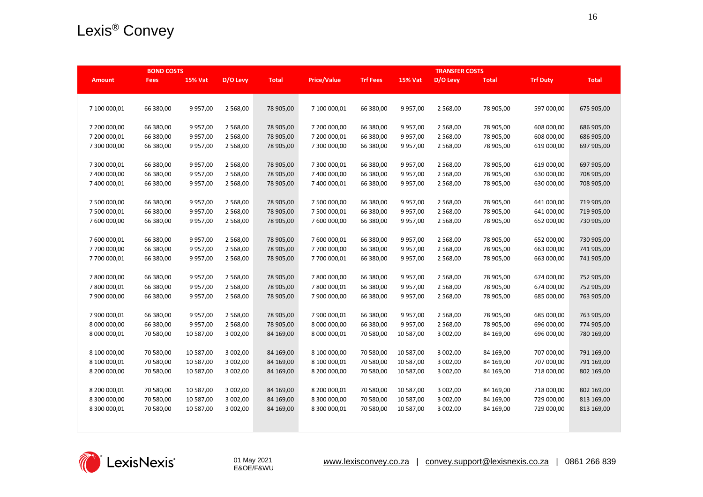| <b>BOND COSTS</b> |             |                |           |              | <b>TRANSFER COSTS</b> |                 |                |          |              |                 |              |
|-------------------|-------------|----------------|-----------|--------------|-----------------------|-----------------|----------------|----------|--------------|-----------------|--------------|
| <b>Amount</b>     | <b>Fees</b> | <b>15% Vat</b> | D/O Levy  | <b>Total</b> | <b>Price/Value</b>    | <b>Trf Fees</b> | <b>15% Vat</b> | D/O Levy | <b>Total</b> | <b>Trf Duty</b> | <b>Total</b> |
|                   |             |                |           |              |                       |                 |                |          |              |                 |              |
|                   |             |                |           |              |                       |                 |                |          |              |                 |              |
| 7 100 000,01      | 66 380,00   | 9 957,00       | 2 5 68,00 | 78 905,00    | 7 100 000,01          | 66 380,00       | 9 9 5 7,00     | 2 568,00 | 78 905,00    | 597 000,00      | 675 905,00   |
|                   |             |                |           |              |                       |                 |                |          |              |                 |              |
| 7 200 000,00      | 66 380,00   | 9 957,00       | 2 568,00  | 78 905,00    | 7 200 000,00          | 66 380,00       | 9 9 5 7,00     | 2 568,00 | 78 905,00    | 608 000,00      | 686 905,00   |
| 7 200 000,01      | 66 380,00   | 9 957,00       | 2 568,00  | 78 905,00    | 7 200 000,01          | 66 380,00       | 9 9 5 7,00     | 2 568,00 | 78 905,00    | 608 000,00      | 686 905,00   |
| 7 300 000,00      | 66 380,00   | 9 9 5 7,00     | 2 568,00  | 78 905,00    | 7 300 000,00          | 66 380,00       | 9 9 5 7,00     | 2 568,00 | 78 905,00    | 619 000,00      | 697 905,00   |
|                   |             |                |           |              |                       |                 |                |          |              |                 |              |
| 7 300 000,01      | 66 380,00   | 9 957,00       | 2 568,00  | 78 905,00    | 7 300 000,01          | 66 380,00       | 9 9 5 7,00     | 2 568,00 | 78 905,00    | 619 000,00      | 697 905,00   |
| 7 400 000,00      | 66 380,00   | 9 9 5 7,00     | 2 568,00  | 78 905,00    | 7 400 000,00          | 66 380,00       | 9 9 5 7,00     | 2 568,00 | 78 905,00    | 630 000,00      | 708 905,00   |
| 7 400 000,01      | 66 380,00   | 9 957,00       | 2 568,00  | 78 905,00    | 7 400 000,01          | 66 380,00       | 9 9 5 7,00     | 2 568,00 | 78 905,00    | 630 000,00      | 708 905,00   |
|                   |             |                |           |              |                       |                 |                |          |              |                 |              |
| 7 500 000,00      | 66 380,00   | 9 9 5 7,00     | 2 5 68,00 | 78 905,00    | 7 500 000,00          | 66 380,00       | 9 9 5 7,00     | 2 568,00 | 78 905,00    | 641 000,00      | 719 905,00   |
| 7 500 000,01      | 66 380,00   | 9 957,00       | 2 568,00  | 78 905,00    | 7 500 000,01          | 66 380,00       | 9 9 5 7,00     | 2 568,00 | 78 905,00    | 641 000,00      | 719 905,00   |
| 7 600 000,00      | 66 380,00   | 9 957,00       | 2 5 68,00 | 78 905,00    | 7 600 000,00          | 66 380,00       | 9 9 5 7,00     | 2 568,00 | 78 905,00    | 652 000,00      | 730 905,00   |
|                   |             |                |           |              |                       |                 |                |          |              |                 |              |
| 7 600 000,01      | 66 380,00   | 9 9 5 7,00     | 2 5 68,00 | 78 905,00    | 7 600 000,01          | 66 380,00       | 9 9 5 7,00     | 2 568,00 | 78 905,00    | 652 000,00      | 730 905,00   |
| 7700 000,00       | 66 380,00   | 9 957,00       | 2 568,00  | 78 905,00    | 7 700 000,00          | 66 380,00       | 9 9 5 7,00     | 2 568,00 | 78 905,00    | 663 000,00      | 741 905,00   |
| 7 700 000,01      | 66 380,00   | 9 9 5 7,00     | 2 568,00  | 78 905,00    | 7 700 000,01          | 66 380,00       | 9 9 5 7,00     | 2 568,00 | 78 905,00    | 663 000,00      | 741 905,00   |
|                   |             |                |           |              |                       |                 |                |          |              |                 |              |
| 7800000,00        | 66 380,00   | 9 957,00       | 2 568,00  | 78 905,00    | 7 800 000,00          | 66 380,00       | 9 9 5 7,00     | 2 568,00 | 78 905,00    | 674 000,00      | 752 905,00   |
| 7 800 000,01      | 66 380,00   | 9 957,00       | 2 568,00  | 78 905,00    | 7 800 000,01          | 66 380,00       | 9 9 5 7,00     | 2 568,00 | 78 905,00    | 674 000,00      | 752 905,00   |
| 7 900 000,00      | 66 380,00   | 9 9 5 7,00     | 2 5 68,00 | 78 905,00    | 7 900 000,00          | 66 380,00       | 9 9 5 7,00     | 2 568,00 | 78 905,00    | 685 000,00      | 763 905,00   |
|                   |             |                |           |              |                       |                 |                |          |              |                 |              |
| 7 900 000,01      | 66 380,00   | 9 9 5 7,00     | 2 5 68,00 | 78 905,00    | 7 900 000,01          | 66 380,00       | 9 9 5 7,00     | 2 568,00 | 78 905,00    | 685 000,00      | 763 905,00   |
| 8 000 000,00      | 66 380,00   | 9 957,00       | 2 568,00  | 78 905,00    | 8 000 000,00          | 66 380,00       | 9 9 5 7,00     | 2 568,00 | 78 905,00    | 696 000,00      | 774 905,00   |
| 8 000 000,01      | 70 580,00   | 10 587,00      | 3 002,00  | 84 169,00    | 8 000 000,01          | 70 580,00       | 10 587,00      | 3 002,00 | 84 169,00    | 696 000,00      | 780 169,00   |
|                   |             |                |           |              |                       |                 |                |          |              |                 |              |
| 8 100 000,00      | 70 580,00   | 10 587,00      | 3 002,00  | 84 169,00    | 8 100 000,00          | 70 580,00       | 10 587,00      | 3 002,00 | 84 169,00    | 707 000,00      | 791 169,00   |
| 8 100 000,01      | 70 580,00   | 10 587,00      | 3 002,00  | 84 169,00    | 8 100 000,01          | 70 580,00       | 10 587,00      | 3 002,00 | 84 169,00    | 707 000,00      | 791 169,00   |
| 8 200 000,00      | 70 580,00   | 10 587,00      | 3 002,00  | 84 169,00    | 8 200 000,00          | 70 580,00       | 10 587,00      | 3 002,00 | 84 169,00    | 718 000,00      | 802 169,00   |
|                   |             |                |           |              |                       |                 |                |          |              |                 |              |
| 8 200 000,01      | 70 580,00   | 10 587,00      | 3 002,00  | 84 169,00    | 8 200 000,01          | 70 580,00       | 10 587,00      | 3 002,00 | 84 169,00    | 718 000,00      | 802 169,00   |
| 8 300 000,00      | 70 580,00   | 10 587,00      | 3 002,00  | 84 169,00    | 8 300 000,00          | 70 580,00       | 10 587,00      | 3 002,00 | 84 169,00    | 729 000,00      | 813 169,00   |
| 8 300 000,01      | 70 580,00   | 10 587,00      | 3 002,00  | 84 169,00    | 8 300 000,01          | 70 580,00       | 10 587,00      | 3 002,00 | 84 169,00    | 729 000,00      | 813 169,00   |
|                   |             |                |           |              |                       |                 |                |          |              |                 |              |
|                   |             |                |           |              |                       |                 |                |          |              |                 |              |

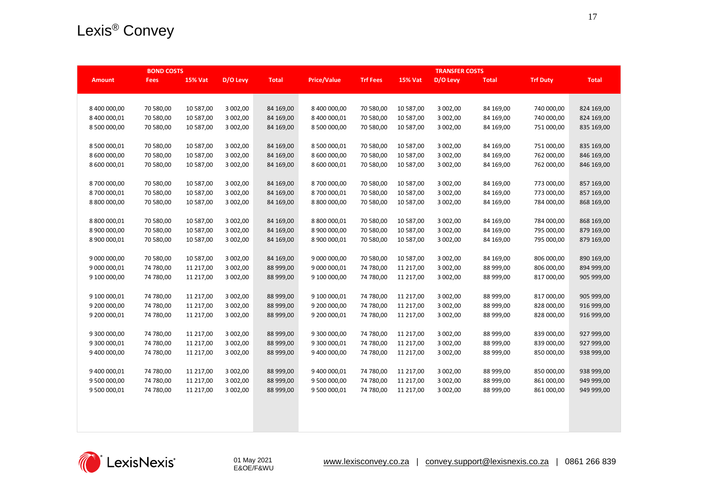| <b>BOND COSTS</b> |             |                |          |              | <b>TRANSFER COSTS</b> |                 |                |          |              |                 |              |  |  |
|-------------------|-------------|----------------|----------|--------------|-----------------------|-----------------|----------------|----------|--------------|-----------------|--------------|--|--|
| <b>Amount</b>     | <b>Fees</b> | <b>15% Vat</b> | D/O Levy | <b>Total</b> | <b>Price/Value</b>    | <b>Trf Fees</b> | <b>15% Vat</b> | D/O Levy | <b>Total</b> | <b>Trf Duty</b> | <b>Total</b> |  |  |
|                   |             |                |          |              |                       |                 |                |          |              |                 |              |  |  |
|                   |             |                |          |              |                       |                 |                |          |              |                 |              |  |  |
| 8 400 000,00      | 70 580,00   | 10 587,00      | 3 002,00 | 84 169,00    | 8 400 000,00          | 70 580,00       | 10 587,00      | 3 002,00 | 84 169,00    | 740 000,00      | 824 169,00   |  |  |
| 8 400 000,01      | 70 580,00   | 10 587,00      | 3 002,00 | 84 169,00    | 8 400 000,01          | 70 580,00       | 10 587,00      | 3 002,00 | 84 169,00    | 740 000,00      | 824 169,00   |  |  |
| 8 500 000,00      | 70 580,00   | 10 587,00      | 3 002,00 | 84 169,00    | 8 500 000,00          | 70 580,00       | 10 587,00      | 3 002,00 | 84 169,00    | 751 000,00      | 835 169,00   |  |  |
|                   |             |                |          |              |                       |                 |                |          |              |                 |              |  |  |
| 8 500 000,01      | 70 580,00   | 10 587,00      | 3 002,00 | 84 169,00    | 8 500 000,01          | 70 580,00       | 10 587,00      | 3 002,00 | 84 169,00    | 751 000,00      | 835 169,00   |  |  |
| 8 600 000,00      | 70 580,00   | 10 587,00      | 3 002,00 | 84 169,00    | 8 600 000,00          | 70 580,00       | 10 587,00      | 3 002,00 | 84 169,00    | 762 000,00      | 846 169,00   |  |  |
| 8 600 000,01      | 70 580,00   | 10 587,00      | 3 002,00 | 84 169,00    | 8 600 000,01          | 70 580,00       | 10 587,00      | 3 002,00 | 84 169,00    | 762 000,00      | 846 169,00   |  |  |
|                   |             |                |          |              |                       |                 |                |          |              |                 |              |  |  |
| 8700000,00        | 70 580,00   | 10 587,00      | 3 002,00 | 84 169,00    | 8 700 000,00          | 70 580,00       | 10 587,00      | 3 002,00 | 84 169,00    | 773 000,00      | 857 169,00   |  |  |
| 8 700 000,01      | 70 580,00   | 10 587,00      | 3 002,00 | 84 169,00    | 8 700 000,01          | 70 580,00       | 10 587,00      | 3 002,00 | 84 169,00    | 773 000,00      | 857 169,00   |  |  |
| 8 800 000,00      | 70 580,00   | 10 587,00      | 3 002,00 | 84 169,00    | 8 800 000,00          | 70 580,00       | 10 587,00      | 3 002,00 | 84 169,00    | 784 000,00      | 868 169,00   |  |  |
|                   |             |                |          |              |                       |                 |                |          |              |                 |              |  |  |
| 8 800 000,01      | 70 580,00   | 10 587,00      | 3 002,00 | 84 169,00    | 8 800 000,01          | 70 580,00       | 10 587,00      | 3 002,00 | 84 169,00    | 784 000,00      | 868 169,00   |  |  |
| 8 900 000,00      | 70 580,00   | 10 587,00      | 3 002,00 | 84 169,00    | 8 900 000,00          | 70 580,00       | 10 587,00      | 3 002,00 | 84 169,00    | 795 000,00      | 879 169,00   |  |  |
| 8 900 000,01      | 70 580,00   | 10 587,00      | 3 002,00 | 84 169,00    | 8 900 000,01          | 70 580,00       | 10 587,00      | 3 002,00 | 84 169,00    | 795 000,00      | 879 169,00   |  |  |
|                   |             |                |          |              |                       |                 |                |          |              |                 |              |  |  |
| 9 000 000,00      | 70 580,00   | 10 587,00      | 3 002,00 | 84 169,00    | 9 000 000,00          | 70 580,00       | 10 587,00      | 3 002,00 | 84 169,00    | 806 000,00      | 890 169,00   |  |  |
| 9 000 000,01      | 74 780,00   | 11 217,00      | 3 002,00 | 88 999,00    | 9 000 000,01          | 74 780,00       | 11 217,00      | 3 002,00 | 88 999,00    | 806 000,00      | 894 999,00   |  |  |
| 9 100 000,00      | 74 780,00   | 11 217,00      | 3 002,00 | 88 999,00    | 9 100 000,00          | 74 780,00       | 11 217,00      | 3 002,00 | 88 999,00    | 817 000,00      | 905 999,00   |  |  |
|                   |             |                |          |              |                       |                 |                |          |              |                 |              |  |  |
| 9 100 000,01      | 74 780,00   | 11 217,00      | 3 002,00 | 88 999,00    | 9 100 000,01          | 74 780,00       | 11 217,00      | 3 002,00 | 88 999,00    | 817 000,00      | 905 999,00   |  |  |
| 9 200 000,00      | 74 780,00   | 11 217,00      | 3 002,00 | 88 999,00    | 9 200 000,00          | 74 780,00       | 11 217,00      | 3 002,00 | 88 999,00    | 828 000,00      | 916 999,00   |  |  |
| 9 200 000,01      | 74 780,00   | 11 217,00      | 3 002,00 | 88 999,00    | 9 200 000,01          | 74 780,00       | 11 217,00      | 3 002,00 | 88 999,00    | 828 000,00      | 916 999,00   |  |  |
|                   |             |                |          |              |                       |                 |                |          |              |                 |              |  |  |
| 9 300 000,00      | 74 780,00   | 11 217,00      | 3 002,00 | 88 999,00    | 9 300 000,00          | 74 780,00       | 11 217,00      | 3 002,00 | 88 999,00    | 839 000,00      | 927 999,00   |  |  |
| 9 300 000,01      | 74 780,00   | 11 217,00      | 3 002,00 | 88 999,00    | 9 300 000,01          | 74 780,00       | 11 217,00      | 3 002,00 | 88 999,00    | 839 000,00      | 927 999,00   |  |  |
| 9 400 000,00      | 74 780,00   | 11 217,00      | 3 002,00 | 88 999,00    | 9 400 000,00          | 74 780,00       | 11 217,00      | 3 002,00 | 88 999,00    | 850 000,00      | 938 999,00   |  |  |
|                   |             |                |          |              | 9 400 000,01          |                 |                |          |              |                 |              |  |  |
| 9 400 000,01      | 74 780,00   | 11 217,00      | 3 002,00 | 88 999,00    |                       | 74 780,00       | 11 217,00      | 3 002,00 | 88 999,00    | 850 000,00      | 938 999,00   |  |  |
| 9 500 000,00      | 74 780,00   | 11 217,00      | 3 002,00 | 88 999,00    | 9 500 000,00          | 74 780,00       | 11 217,00      | 3 002,00 | 88 999,00    | 861 000,00      | 949 999,00   |  |  |
| 9 500 000,01      | 74 780,00   | 11 217,00      | 3 002,00 | 88 999,00    | 9 500 000,01          | 74 780,00       | 11 217,00      | 3 002,00 | 88 999,00    | 861 000,00      | 949 999,00   |  |  |
|                   |             |                |          |              |                       |                 |                |          |              |                 |              |  |  |
|                   |             |                |          |              |                       |                 |                |          |              |                 |              |  |  |
|                   |             |                |          |              |                       |                 |                |          |              |                 |              |  |  |
|                   |             |                |          |              |                       |                 |                |          |              |                 |              |  |  |